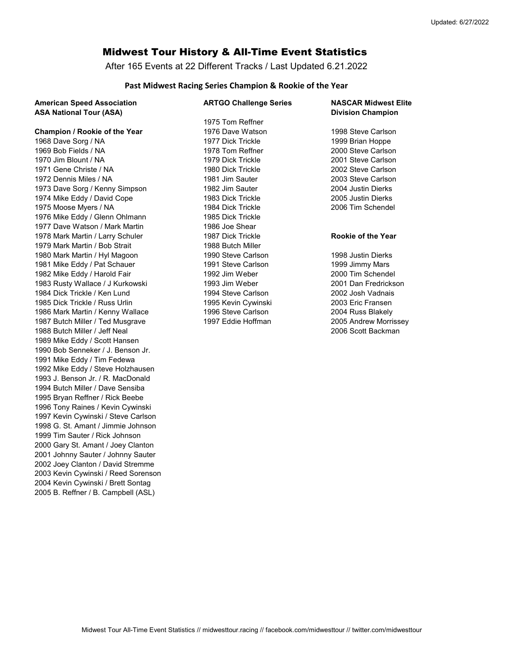# Midwest Tour History & All-Time Event Statistics

After 165 Events at 22 Different Tracks / Last Updated 6.21.2022

## Past Midwest Racing Series Champion & Rookie of the Year

| <b>American Speed Association</b><br><b>ASA National Tour (ASA)</b> | <b>ARTGO Challenge Series</b> | <b>NASCAR Midwest Elite</b><br><b>Division Champion</b> |
|---------------------------------------------------------------------|-------------------------------|---------------------------------------------------------|
|                                                                     | 1975 Tom Reffner              |                                                         |
| Champion / Rookie of the Year                                       | 1976 Dave Watson              | 1998 Steve Carlson                                      |
| 1968 Dave Sorg / NA                                                 | 1977 Dick Trickle             | 1999 Brian Hoppe                                        |
| 1969 Bob Fields / NA                                                | 1978 Tom Reffner              | 2000 Steve Carlson                                      |
| 1970 Jim Blount / NA                                                | 1979 Dick Trickle             | 2001 Steve Carlson                                      |
| 1971 Gene Christe / NA                                              | 1980 Dick Trickle             | 2002 Steve Carlson                                      |
| 1972 Dennis Miles / NA                                              | 1981 Jim Sauter               | 2003 Steve Carlson                                      |
| 1973 Dave Sorg / Kenny Simpson                                      | 1982 Jim Sauter               | 2004 Justin Dierks                                      |
| 1974 Mike Eddy / David Cope                                         | 1983 Dick Trickle             | 2005 Justin Dierks                                      |
| 1975 Moose Myers / NA                                               | 1984 Dick Trickle             | 2006 Tim Schendel                                       |
| 1976 Mike Eddy / Glenn Ohlmann                                      | 1985 Dick Trickle             |                                                         |
| 1977 Dave Watson / Mark Martin                                      | 1986 Joe Shear                |                                                         |
| 1978 Mark Martin / Larry Schuler                                    | 1987 Dick Trickle             | <b>Rookie of the Year</b>                               |
| 1979 Mark Martin / Bob Strait                                       | 1988 Butch Miller             |                                                         |
| 1980 Mark Martin / Hyl Magoon                                       | 1990 Steve Carlson            | 1998 Justin Dierks                                      |
| 1981 Mike Eddy / Pat Schauer                                        | 1991 Steve Carlson            | 1999 Jimmy Mars                                         |
| 1982 Mike Eddy / Harold Fair                                        | 1992 Jim Weber                | 2000 Tim Schendel                                       |
| 1983 Rusty Wallace / J Kurkowski                                    | 1993 Jim Weber                | 2001 Dan Fredrickson                                    |
| 1984 Dick Trickle / Ken Lund                                        | 1994 Steve Carlson            | 2002 Josh Vadnais                                       |
| 1985 Dick Trickle / Russ Urlin                                      | 1995 Kevin Cywinski           | 2003 Eric Fransen                                       |
| 1986 Mark Martin / Kenny Wallace                                    | 1996 Steve Carlson            | 2004 Russ Blakely                                       |
| 1987 Butch Miller / Ted Musgrave                                    | 1997 Eddie Hoffman            | 2005 Andrew Morrissey                                   |
| 1988 Butch Miller / Jeff Neal                                       |                               | 2006 Scott Backman                                      |
| 1989 Mike Eddy / Scott Hansen                                       |                               |                                                         |
| 1990 Bob Senneker / J. Benson Jr.                                   |                               |                                                         |
| 1991 Mike Eddy / Tim Fedewa                                         |                               |                                                         |
| 1992 Mike Eddy / Steve Holzhausen                                   |                               |                                                         |
| 1993 J. Benson Jr. / R. MacDonald                                   |                               |                                                         |
| 1994 Butch Miller / Dave Sensiba                                    |                               |                                                         |
| 1995 Bryan Reffner / Rick Beebe                                     |                               |                                                         |
| 1996 Tony Raines / Kevin Cywinski                                   |                               |                                                         |
| 1997 Kevin Cywinski / Steve Carlson                                 |                               |                                                         |
| 1998 G. St. Amant / Jimmie Johnson                                  |                               |                                                         |
| 1999 Tim Sauter / Rick Johnson                                      |                               |                                                         |
| 2000 Gary St. Amant / Joey Clanton                                  |                               |                                                         |
| 2001 Johnny Sauter / Johnny Sauter                                  |                               |                                                         |
| 2002 Joey Clanton / David Stremme                                   |                               |                                                         |
| 2003 Kevin Cywinski / Reed Sorenson                                 |                               |                                                         |

2004 Kevin Cywinski / Brett Sontag 2005 B. Reffner / B. Campbell (ASL)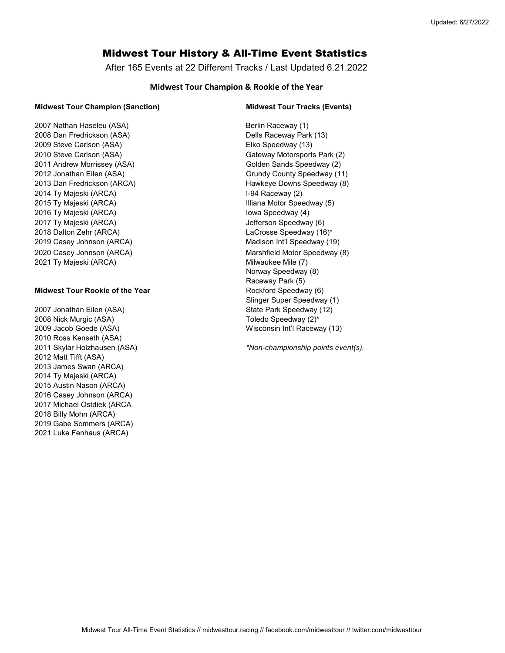# Midwest Tour History & All-Time Event Statistics

After 165 Events at 22 Different Tracks / Last Updated 6.21.2022

## Midwest Tour Champion & Rookie of the Year

#### Midwest Tour Champion (Sanction) Midwest Tour Tracks (Events)

2007 Nathan Haseleu (ASA) **Berlin Raceway (1)** Berlin Raceway (1) 2008 Dan Fredrickson (ASA) Dells Raceway Park (13) 2009 Steve Carlson (ASA) Elko Speedway (13) 2010 Steve Carlson (ASA) Gateway Motorsports Park (2) 2011 Andrew Morrissey (ASA) Common Colden Sands Speedway (2) 2012 Jonathan Eilen (ASA) Grundy County Speedway (11) 2013 Dan Fredrickson (ARCA) **Hawkeye Downs Speedway (8)** Hawkeye Downs Speedway (8) 2014 Ty Majeski (ARCA) **I-94 Raceway (2)** 2015 Ty Majeski (ARCA) **Illiana Motor Speedway (5)** 2016 Ty Majeski (ARCA) Iowa Speedway (4) 2017 Ty Majeski (ARCA) **Jefferson Speedway (6)** Jefferson Speedway (6) 2018 Dalton Zehr (ARCA) LaCrosse Speedway (16)\* 2019 Casey Johnson (ARCA) Madison Int'l Speedway (19) 2020 Casey Johnson (ARCA) Marshfield Motor Speedway (8) 2021 Ty Majeski (ARCA) Milwaukee Mile (7)

### Midwest Tour Rookie of the Year Midwest Tour Rockford Speedway (6)

2007 Jonathan Eilen (ASA) State Park Speedway (12) 2008 Nick Murgic (ASA) 2008 Nick Murgic (ASA) 2009 Jacob Goede (ASA) Wisconsin Int'l Raceway (13) 2010 Ross Kenseth (ASA) 2012 Matt Tifft (ASA) 2013 James Swan (ARCA) 2014 Ty Majeski (ARCA) 2015 Austin Nason (ARCA) 2016 Casey Johnson (ARCA) 2017 Michael Ostdiek (ARCA 2018 Billy Mohn (ARCA) 2019 Gabe Sommers (ARCA) 2021 Luke Fenhaus (ARCA)

Norway Speedway (8) Raceway Park (5) Slinger Super Speedway (1)

2011 Skylar Holzhausen (ASA) \*Non-championship points event(s).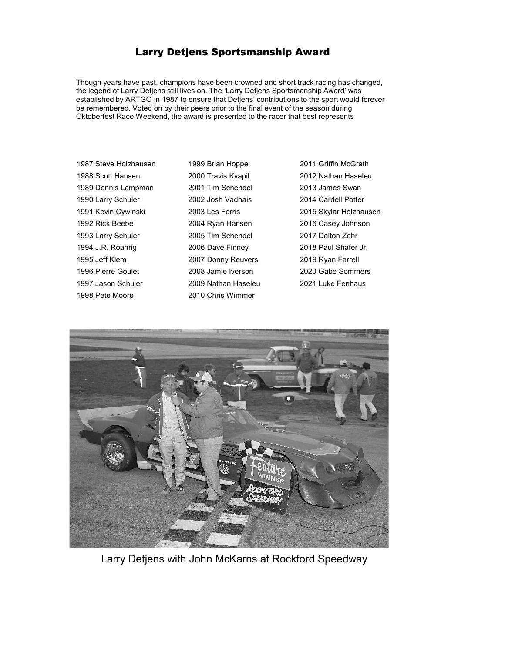## Larry Detjens Sportsmanship Award

Though years have past, champions have been crowned and short track racing has changed, the legend of Larry Detjens still lives on. The 'Larry Detjens Sportsmanship Award' was established by ARTGO in 1987 to ensure that Detjens' contributions to the sport would forever be remembered. Voted on by their peers prior to the final event of the season during Oktoberfest Race Weekend, the award is presented to the racer that best represents

1987 Steve Holzhausen 1999 Brian Hoppe 2011 Griffin McGrath 1988 Scott Hansen 2000 Travis Kvapil 2012 Nathan Haseleu 1989 Dennis Lampman 2001 Tim Schendel 2013 James Swan 1990 Larry Schuler 2002 Josh Vadnais 2014 Cardell Potter 1992 Rick Beebe 2004 Ryan Hansen 2016 Casey Johnson 1993 Larry Schuler 2005 Tim Schendel 2017 Dalton Zehr 1994 J.R. Roahrig 2006 Dave Finney 2018 Paul Shafer Jr. 1995 Jeff Klem 2007 Donny Reuvers 2019 Ryan Farrell 1996 Pierre Goulet 2008 Jamie Iverson 2020 Gabe Sommers 1997 Jason Schuler 2009 Nathan Haseleu 2021 Luke Fenhaus 1998 Pete Moore 2010 Chris Wimmer

1991 Kevin Cywinski 2003 Les Ferris 2015 Skylar Holzhausen



Larry Detjens with John McKarns at Rockford Speedway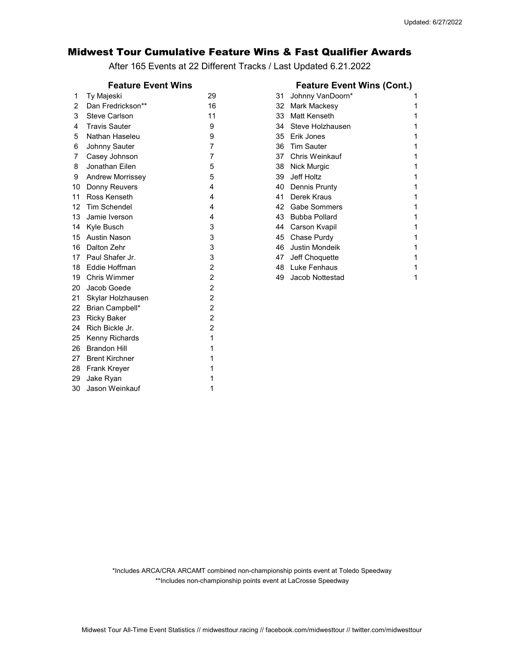## Midwest Tour Cumulative Feature Wins & Fast Qualifier Awards

After 165 Events at 22 Different Tracks / Last Updated 6.21.2022

## Feature Event Wins

| 1  | Ty Majeski              | 29             | 31 | Johnny VanDoorn*     | 1 |
|----|-------------------------|----------------|----|----------------------|---|
| 2  | Dan Fredrickson**       | 16             | 32 | Mark Mackesy         | 1 |
| 3  | <b>Steve Carlson</b>    | 11             | 33 | Matt Kenseth         | 1 |
| 4  | <b>Travis Sauter</b>    | 9              | 34 | Steve Holzhausen     | 1 |
| 5  | Nathan Haseleu          | 9              | 35 | Erik Jones           | 1 |
| 6  | Johnny Sauter           | 7              | 36 | <b>Tim Sauter</b>    | 1 |
| 7  | Casey Johnson           | 7              | 37 | Chris Weinkauf       | 1 |
| 8  | Jonathan Eilen          | 5              | 38 | Nick Murgic          | 1 |
| 9  | <b>Andrew Morrissey</b> | 5              | 39 | Jeff Holtz           | 1 |
| 10 | Donny Reuvers           | 4              | 40 | Dennis Prunty        |   |
| 11 | Ross Kenseth            | 4              | 41 | Derek Kraus          | 1 |
| 12 | <b>Tim Schendel</b>     | 4              | 42 | <b>Gabe Sommers</b>  | 1 |
| 13 | Jamie Iverson           | 4              | 43 | <b>Bubba Pollard</b> | 1 |
| 14 | Kyle Busch              | 3              | 44 | Carson Kvapil        | 1 |
| 15 | Austin Nason            | 3              | 45 | Chase Purdy          | 1 |
| 16 | Dalton Zehr             | 3              | 46 | Justin Mondeik       | 1 |
| 17 | Paul Shafer Jr.         | 3              | 47 | Jeff Choquette       | 1 |
| 18 | Eddie Hoffman           | $\overline{2}$ | 48 | Luke Fenhaus         | 1 |
| 19 | <b>Chris Wimmer</b>     | $\overline{2}$ | 49 | Jacob Nottestad      | 1 |
| 20 | Jacob Goede             | $\overline{2}$ |    |                      |   |
| 21 | Skylar Holzhausen       | $\overline{c}$ |    |                      |   |
| 22 | Brian Campbell*         | $\overline{2}$ |    |                      |   |
| 23 | <b>Ricky Baker</b>      | $\overline{2}$ |    |                      |   |
| 24 | Rich Bickle Jr.         | $\overline{2}$ |    |                      |   |
| 25 | Kenny Richards          | 1              |    |                      |   |
| 26 | <b>Brandon Hill</b>     |                |    |                      |   |
| 27 | <b>Brent Kirchner</b>   |                |    |                      |   |
| 28 | Frank Kreyer            |                |    |                      |   |
| 29 | Jake Ryan               |                |    |                      |   |
| 30 | Jason Weinkauf          | 1              |    |                      |   |
|    |                         |                |    |                      |   |

|                | <b>Feature Event Wins</b> |    |    | <b>Feature Event Wins (Cont.)</b> |  |
|----------------|---------------------------|----|----|-----------------------------------|--|
| 1              | Ty Majeski                | 29 | 31 | Johnny VanDoorn*                  |  |
| 2              | Dan Fredrickson**         | 16 | 32 | Mark Mackesy                      |  |
| 3              | <b>Steve Carlson</b>      | 11 | 33 | Matt Kenseth                      |  |
| 4              | <b>Travis Sauter</b>      | 9  | 34 | Steve Holzhausen                  |  |
| 5              | Nathan Haseleu            | 9  | 35 | Erik Jones                        |  |
| 6              | Johnny Sauter             | 7  | 36 | <b>Tim Sauter</b>                 |  |
| 7              | Casey Johnson             | 7  | 37 | <b>Chris Weinkauf</b>             |  |
| 8              | Jonathan Eilen            | 5  | 38 | Nick Murgic                       |  |
| 9              | <b>Andrew Morrissey</b>   | 5  | 39 | Jeff Holtz                        |  |
| 0              | Donny Reuvers             | 4  | 40 | Dennis Prunty                     |  |
| ∣1             | Ross Kenseth              | 4  | 41 | Derek Kraus                       |  |
| $\overline{2}$ | <b>Tim Schendel</b>       | 4  | 42 | <b>Gabe Sommers</b>               |  |
| 3              | Jamie Iverson             | 4  | 43 | <b>Bubba Pollard</b>              |  |
| 4              | Kyle Busch                | 3  | 44 | Carson Kvapil                     |  |
| 5              | <b>Austin Nason</b>       | 3  | 45 | Chase Purdy                       |  |
| 6              | Dalton Zehr               | 3  | 46 | <b>Justin Mondeik</b>             |  |
| $\overline{7}$ | Paul Shafer Jr.           | 3  | 47 | Jeff Choquette                    |  |
| ∣8             | Eddie Hoffman             | 2  | 48 | Luke Fenhaus                      |  |
| ∣9             | <b>Chris Wimmer</b>       | 2  | 49 | Jacob Nottestad                   |  |

\*Includes ARCA/CRA ARCAMT combined non-championship points event at Toledo Speedway \*\*Includes non-championship points event at LaCrosse Speedway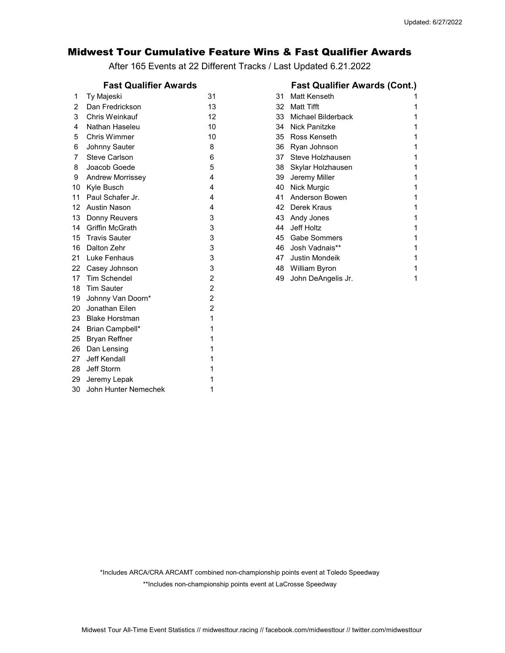## Midwest Tour Cumulative Feature Wins & Fast Qualifier Awards

After 165 Events at 22 Different Tracks / Last Updated 6.21.2022

| 1  | Ty Majeski              | 31             | 31 | Matt Kenseth              | 1 |
|----|-------------------------|----------------|----|---------------------------|---|
| 2  | Dan Fredrickson         | 13             | 32 | <b>Matt Tifft</b>         |   |
| 3  | Chris Weinkauf          | 12             | 33 | <b>Michael Bilderback</b> |   |
| 4  | Nathan Haseleu          | 10             | 34 | <b>Nick Panitzke</b>      | 1 |
| 5  | Chris Wimmer            | 10             | 35 | Ross Kenseth              | 1 |
| 6  | Johnny Sauter           | 8              | 36 | Ryan Johnson              |   |
| 7  | Steve Carlson           | 6              | 37 | Steve Holzhausen          | 1 |
| 8  | Joacob Goede            | 5              | 38 | Skylar Holzhausen         |   |
| 9  | <b>Andrew Morrissey</b> | 4              | 39 | Jeremy Miller             |   |
| 10 | Kyle Busch              | 4              | 40 | Nick Murgic               |   |
| 11 | Paul Schafer Jr.        | 4              | 41 | Anderson Bowen            |   |
| 12 | Austin Nason            | 4              | 42 | Derek Kraus               | 1 |
| 13 | Donny Reuvers           | 3              | 43 | Andy Jones                | 1 |
| 14 | <b>Griffin McGrath</b>  | 3              | 44 | Jeff Holtz                |   |
| 15 | <b>Travis Sauter</b>    | 3              | 45 | <b>Gabe Sommers</b>       | 1 |
| 16 | Dalton Zehr             | 3              | 46 | Josh Vadnais**            | 1 |
| 21 | Luke Fenhaus            | 3              | 47 | <b>Justin Mondeik</b>     | 1 |
| 22 | Casey Johnson           | 3              | 48 | William Byron             | 1 |
| 17 | <b>Tim Schendel</b>     | $\overline{2}$ | 49 | John DeAngelis Jr.        | 1 |
| 18 | <b>Tim Sauter</b>       | $\overline{2}$ |    |                           |   |
| 19 | Johnny Van Doorn*       | $\overline{2}$ |    |                           |   |
| 20 | Jonathan Eilen          | 2              |    |                           |   |
| 23 | <b>Blake Horstman</b>   | 1              |    |                           |   |
| 24 | Brian Campbell*         |                |    |                           |   |
| 25 | <b>Bryan Reffner</b>    |                |    |                           |   |
| 26 | Dan Lensing             |                |    |                           |   |
| 27 | Jeff Kendall            |                |    |                           |   |
| 28 | Jeff Storm              |                |    |                           |   |
| 29 | Jeremy Lepak            |                |    |                           |   |
| 30 | John Hunter Nemechek    |                |    |                           |   |
|    |                         |                |    |                           |   |

|                | <b>Fast Qualifier Awards</b> | <b>Fast Qualifier Awards (Cont.)</b> |    |                       |  |
|----------------|------------------------------|--------------------------------------|----|-----------------------|--|
| 1              | Ty Majeski                   | 31                                   | 31 | Matt Kenseth          |  |
| 2              | Dan Fredrickson              | 13                                   | 32 | Matt Tifft            |  |
| 3              | Chris Weinkauf               | 12                                   | 33 | Michael Bilderback    |  |
| 4              | Nathan Haseleu               | 10                                   | 34 | <b>Nick Panitzke</b>  |  |
| 5              | <b>Chris Wimmer</b>          | 10                                   | 35 | Ross Kenseth          |  |
| 6              | Johnny Sauter                | 8                                    | 36 | Ryan Johnson          |  |
| 7              | <b>Steve Carlson</b>         | 6                                    | 37 | Steve Holzhausen      |  |
| 8              | Joacob Goede                 | 5                                    | 38 | Skylar Holzhausen     |  |
| 9              | <b>Andrew Morrissey</b>      | 4                                    | 39 | Jeremy Miller         |  |
| 0              | Kyle Busch                   | 4                                    | 40 | <b>Nick Murgic</b>    |  |
| $\vert$ 1      | Paul Schafer Jr.             | 4                                    | 41 | Anderson Bowen        |  |
| $\overline{2}$ | Austin Nason                 | 4                                    | 42 | Derek Kraus           |  |
| Ι3             | Donny Reuvers                | 3                                    | 43 | Andy Jones            |  |
| 4              | <b>Griffin McGrath</b>       | 3                                    | 44 | Jeff Holtz            |  |
| 5              | <b>Travis Sauter</b>         | 3                                    | 45 | <b>Gabe Sommers</b>   |  |
| 16             | Dalton Zehr                  | 3                                    | 46 | Josh Vadnais**        |  |
| 21             | Luke Fenhaus                 | 3                                    | 47 | <b>Justin Mondeik</b> |  |
| $^{22}$        | Casey Johnson                | 3                                    | 48 | William Byron         |  |
| $\overline{7}$ | <b>Tim Schendel</b>          | 2                                    | 49 | John DeAngelis Jr.    |  |

\*\*Includes non-championship points event at LaCrosse Speedway \*Includes ARCA/CRA ARCAMT combined non-championship points event at Toledo Speedway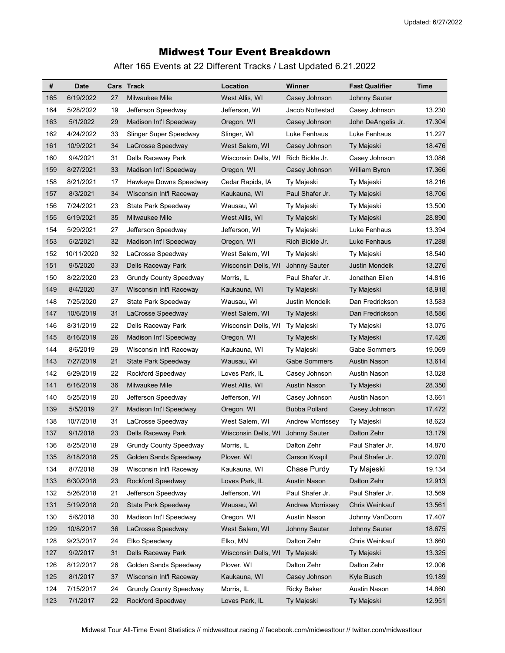# Midwest Tour Event Breakdown

After 165 Events at 22 Different Tracks / Last Updated 6.21.2022

| #   | <b>Date</b> |    | Cars Track                    | Location            | Winner                  | <b>Fast Qualifier</b> | Time   |
|-----|-------------|----|-------------------------------|---------------------|-------------------------|-----------------------|--------|
| 165 | 6/19/2022   | 27 | Milwaukee Mile                | West Allis, WI      | Casey Johnson           | Johnny Sauter         |        |
| 164 | 5/28/2022   | 19 | Jefferson Speedway            | Jefferson, WI       | Jacob Nottestad         | Casey Johnson         | 13.230 |
| 163 | 5/1/2022    | 29 | Madison Int'l Speedway        | Oregon, WI          | Casey Johnson           | John DeAngelis Jr.    | 17.304 |
| 162 | 4/24/2022   | 33 | Slinger Super Speedway        | Slinger, WI         | Luke Fenhaus            | Luke Fenhaus          | 11.227 |
| 161 | 10/9/2021   | 34 | LaCrosse Speedway             | West Salem, WI      | Casey Johnson           | Ty Majeski            | 18.476 |
| 160 | 9/4/2021    | 31 | Dells Raceway Park            | Wisconsin Dells, WI | Rich Bickle Jr.         | Casey Johnson         | 13.086 |
| 159 | 8/27/2021   | 33 | Madison Int'l Speedway        | Oregon, WI          | Casey Johnson           | <b>William Byron</b>  | 17.366 |
| 158 | 8/21/2021   | 17 | Hawkeye Downs Speedway        | Cedar Rapids, IA    | Ty Majeski              | Ty Majeski            | 18.216 |
| 157 | 8/3/2021    | 34 | Wisconsin Int'l Raceway       | Kaukauna, WI        | Paul Shafer Jr.         | Ty Majeski            | 18.706 |
| 156 | 7/24/2021   | 23 | State Park Speedway           | Wausau, WI          | Ty Majeski              | Ty Majeski            | 13.500 |
| 155 | 6/19/2021   | 35 | Milwaukee Mile                | West Allis, WI      | Ty Majeski              | Ty Majeski            | 28.890 |
| 154 | 5/29/2021   | 27 | Jefferson Speedway            | Jefferson, WI       | Ty Majeski              | Luke Fenhaus          | 13.394 |
| 153 | 5/2/2021    | 32 | Madison Int'l Speedway        | Oregon, WI          | Rich Bickle Jr.         | Luke Fenhaus          | 17.288 |
| 152 | 10/11/2020  | 32 | LaCrosse Speedway             | West Salem, WI      | Ty Majeski              | Ty Majeski            | 18.540 |
| 151 | 9/5/2020    | 33 | <b>Dells Raceway Park</b>     | Wisconsin Dells, WI | <b>Johnny Sauter</b>    | <b>Justin Mondeik</b> | 13.276 |
| 150 | 8/22/2020   | 23 | <b>Grundy County Speedway</b> | Morris, IL          | Paul Shafer Jr.         | Jonathan Eilen        | 14.816 |
| 149 | 8/4/2020    | 37 | Wisconsin Int'l Raceway       | Kaukauna, WI        | Ty Majeski              | Ty Majeski            | 18.918 |
| 148 | 7/25/2020   | 27 | State Park Speedway           | Wausau, WI          | Justin Mondeik          | Dan Fredrickson       | 13.583 |
| 147 | 10/6/2019   | 31 | LaCrosse Speedway             | West Salem, WI      | Ty Majeski              | Dan Fredrickson       | 18.586 |
| 146 | 8/31/2019   | 22 | Dells Raceway Park            | Wisconsin Dells, WI | Ty Majeski              | Ty Majeski            | 13.075 |
| 145 | 8/16/2019   | 26 | Madison Int'l Speedway        | Oregon, WI          | Ty Majeski              | Ty Majeski            | 17.426 |
| 144 | 8/6/2019    | 29 | Wisconsin Int'l Raceway       | Kaukauna, WI        | Ty Majeski              | Gabe Sommers          | 19.069 |
| 143 | 7/27/2019   | 21 | <b>State Park Speedway</b>    | Wausau, WI          | Gabe Sommers            | <b>Austin Nason</b>   | 13.614 |
| 142 | 6/29/2019   | 22 | Rockford Speedway             | Loves Park, IL      | Casey Johnson           | Austin Nason          | 13.028 |
| 141 | 6/16/2019   | 36 | Milwaukee Mile                | West Allis, WI      | Austin Nason            | Ty Majeski            | 28.350 |
| 140 | 5/25/2019   | 20 | Jefferson Speedway            | Jefferson, WI       | Casey Johnson           | Austin Nason          | 13.661 |
| 139 | 5/5/2019    | 27 | Madison Int'l Speedway        | Oregon, WI          | <b>Bubba Pollard</b>    | Casey Johnson         | 17.472 |
| 138 | 10/7/2018   | 31 | LaCrosse Speedway             | West Salem, WI      | <b>Andrew Morrissey</b> | Ty Majeski            | 18.623 |
| 137 | 9/1/2018    | 23 | Dells Raceway Park            | Wisconsin Dells, WI | <b>Johnny Sauter</b>    | Dalton Zehr           | 13.179 |
| 136 | 8/25/2018   | 29 | <b>Grundy County Speedway</b> | Morris, IL          | Dalton Zehr             | Paul Shafer Jr.       | 14.870 |
| 135 | 8/18/2018   | 25 | Golden Sands Speedway         | Plover, WI          | <b>Carson Kvapil</b>    | Paul Shafer Jr.       | 12.070 |
| 134 | 8/7/2018    | 39 | Wisconsin Int'l Raceway       | Kaukauna, WI        | Chase Purdy             | Ty Majeski            | 19.134 |
| 133 | 6/30/2018   | 23 | Rockford Speedway             | Loves Park, IL      | <b>Austin Nason</b>     | Dalton Zehr           | 12.913 |
| 132 | 5/26/2018   | 21 | Jefferson Speedway            | Jefferson, WI       | Paul Shafer Jr.         | Paul Shafer Jr.       | 13.569 |
| 131 | 5/19/2018   | 20 | <b>State Park Speedway</b>    | Wausau, WI          | <b>Andrew Morrissey</b> | Chris Weinkauf        | 13.561 |
| 130 | 5/6/2018    | 30 | Madison Int'l Speedway        | Oregon, WI          | Austin Nason            | Johnny VanDoorn       | 17.407 |
| 129 | 10/8/2017   | 36 | LaCrosse Speedway             | West Salem, WI      | Johnny Sauter           | Johnny Sauter         | 18.675 |
| 128 | 9/23/2017   | 24 | Elko Speedway                 | Elko, MN            | Dalton Zehr             | Chris Weinkauf        | 13.660 |
| 127 | 9/2/2017    | 31 | Dells Raceway Park            | Wisconsin Dells, WI | Ty Majeski              | Ty Majeski            | 13.325 |
| 126 | 8/12/2017   | 26 | Golden Sands Speedway         | Plover, WI          | Dalton Zehr             | Dalton Zehr           | 12.006 |
| 125 | 8/1/2017    | 37 | Wisconsin Int'l Raceway       | Kaukauna, WI        | Casey Johnson           | Kyle Busch            | 19.189 |
| 124 | 7/15/2017   | 24 | <b>Grundy County Speedway</b> | Morris, IL          | <b>Ricky Baker</b>      | Austin Nason          | 14.860 |
| 123 | 7/1/2017    | 22 | Rockford Speedway             | Loves Park, IL      | Ty Majeski              | Ty Majeski            | 12.951 |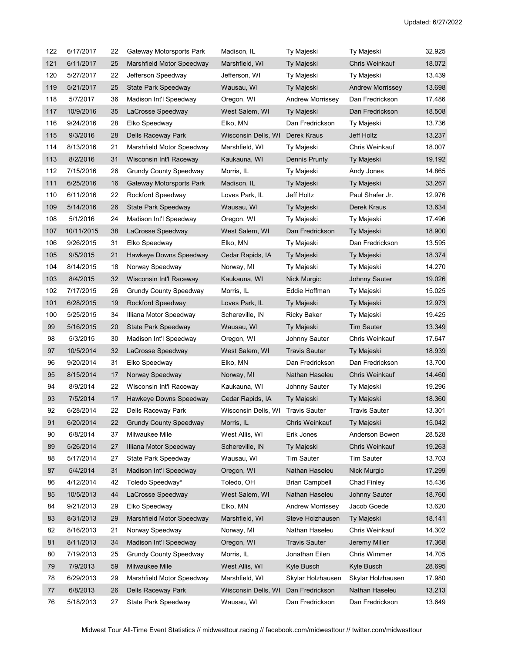| 122 | 6/17/2017  | 22 | Gateway Motorsports Park      | Madison, IL         | Ty Majeski              | Ty Majeski              | 32.925 |
|-----|------------|----|-------------------------------|---------------------|-------------------------|-------------------------|--------|
| 121 | 6/11/2017  | 25 | Marshfield Motor Speedway     | Marshfield, WI      | Ty Majeski              | Chris Weinkauf          | 18.072 |
| 120 | 5/27/2017  | 22 | Jefferson Speedway            | Jefferson, WI       | Ty Majeski              | Ty Majeski              | 13.439 |
| 119 | 5/21/2017  | 25 | <b>State Park Speedway</b>    | Wausau, WI          | Ty Majeski              | <b>Andrew Morrissey</b> | 13.698 |
| 118 | 5/7/2017   | 36 | Madison Int'l Speedway        | Oregon, WI          | <b>Andrew Morrissey</b> | Dan Fredrickson         | 17.486 |
| 117 | 10/9/2016  | 35 | LaCrosse Speedway             | West Salem, WI      | Ty Majeski              | Dan Fredrickson         | 18.508 |
| 116 | 9/24/2016  | 28 | Elko Speedway                 | Elko, MN            | Dan Fredrickson         | Ty Majeski              | 13.736 |
| 115 | 9/3/2016   | 28 | Dells Raceway Park            | Wisconsin Dells, WI | Derek Kraus             | Jeff Holtz              | 13.237 |
| 114 | 8/13/2016  | 21 | Marshfield Motor Speedway     | Marshfield, WI      | Ty Majeski              | Chris Weinkauf          | 18.007 |
| 113 | 8/2/2016   | 31 | Wisconsin Int'l Raceway       | Kaukauna, WI        | <b>Dennis Prunty</b>    | Ty Majeski              | 19.192 |
| 112 | 7/15/2016  | 26 | <b>Grundy County Speedway</b> | Morris, IL          | Ty Majeski              | Andy Jones              | 14.865 |
| 111 | 6/25/2016  | 16 | Gateway Motorsports Park      | Madison, IL         | Ty Majeski              | Ty Majeski              | 33.267 |
| 110 | 6/11/2016  | 22 | Rockford Speedway             | Loves Park, IL      | Jeff Holtz              | Paul Shafer Jr.         | 12.976 |
| 109 | 5/14/2016  | 26 | State Park Speedway           | Wausau, WI          | Ty Majeski              | Derek Kraus             | 13.634 |
| 108 | 5/1/2016   | 24 | Madison Int'l Speedway        | Oregon, WI          | Ty Majeski              | Ty Majeski              | 17.496 |
| 107 | 10/11/2015 | 38 | LaCrosse Speedway             | West Salem, WI      | Dan Fredrickson         | Ty Majeski              | 18.900 |
| 106 | 9/26/2015  | 31 | Elko Speedway                 | Elko, MN            | Ty Majeski              | Dan Fredrickson         | 13.595 |
| 105 | 9/5/2015   | 21 | Hawkeye Downs Speedway        | Cedar Rapids, IA    | Ty Majeski              | Ty Majeski              | 18.374 |
| 104 | 8/14/2015  | 18 | Norway Speedway               | Norway, MI          | Ty Majeski              | Ty Majeski              | 14.270 |
| 103 | 8/4/2015   | 32 | Wisconsin Int'l Raceway       | Kaukauna, WI        | <b>Nick Murgic</b>      | Johnny Sauter           | 19.026 |
| 102 | 7/17/2015  | 26 | <b>Grundy County Speedway</b> | Morris, IL          | Eddie Hoffman           | Ty Majeski              | 15.025 |
| 101 | 6/28/2015  | 19 | Rockford Speedway             | Loves Park, IL      | Ty Majeski              | Ty Majeski              | 12.973 |
| 100 | 5/25/2015  | 34 | Illiana Motor Speedway        | Schereville, IN     | Ricky Baker             | Ty Majeski              | 19.425 |
| 99  | 5/16/2015  | 20 | State Park Speedway           | Wausau, WI          | Ty Majeski              | Tim Sauter              | 13.349 |
| 98  | 5/3/2015   | 30 | Madison Int'l Speedway        | Oregon, WI          | Johnny Sauter           | Chris Weinkauf          | 17.647 |
| 97  | 10/5/2014  | 32 | LaCrosse Speedway             | West Salem, WI      | <b>Travis Sauter</b>    | Ty Majeski              | 18.939 |
| 96  | 9/20/2014  | 31 | Elko Speedway                 | Elko, MN            | Dan Fredrickson         | Dan Fredrickson         | 13.700 |
| 95  | 8/15/2014  | 17 | Norway Speedway               | Norway, MI          | Nathan Haseleu          | Chris Weinkauf          | 14.460 |
| 94  | 8/9/2014   | 22 | Wisconsin Int'l Raceway       | Kaukauna, WI        | Johnny Sauter           | Ty Majeski              | 19.296 |
| 93  | 7/5/2014   | 17 | Hawkeye Downs Speedway        | Cedar Rapids, IA    | Ty Majeski              | Ty Majeski              | 18.360 |
| 92  | 6/28/2014  | 22 | Dells Raceway Park            | Wisconsin Dells, WI | <b>Travis Sauter</b>    | <b>Travis Sauter</b>    | 13.301 |
| 91  | 6/20/2014  | 22 | <b>Grundy County Speedway</b> | Morris, IL          | Chris Weinkauf          | Ty Majeski              | 15.042 |
| 90  | 6/8/2014   | 37 | Milwaukee Mile                | West Allis, WI      | Erik Jones              | Anderson Bowen          | 28.528 |
| 89  | 5/26/2014  | 27 | Illiana Motor Speedway        | Schereville, IN     | Ty Majeski              | Chris Weinkauf          | 19.263 |
| 88  | 5/17/2014  | 27 | State Park Speedway           | Wausau, WI          | <b>Tim Sauter</b>       | <b>Tim Sauter</b>       | 13.703 |
| 87  | 5/4/2014   | 31 | Madison Int'l Speedway        | Oregon, WI          | Nathan Haseleu          | Nick Murgic             | 17.299 |
| 86  | 4/12/2014  | 42 | Toledo Speedway*              | Toledo, OH          | Brian Campbell          | Chad Finley             | 15.436 |
| 85  | 10/5/2013  | 44 | LaCrosse Speedway             | West Salem, WI      | Nathan Haseleu          | <b>Johnny Sauter</b>    | 18.760 |
| 84  | 9/21/2013  | 29 | Elko Speedway                 | Elko, MN            | <b>Andrew Morrissey</b> | Jacob Goede             | 13.620 |
| 83  | 8/31/2013  | 29 | Marshfield Motor Speedway     | Marshfield, WI      | Steve Holzhausen        | Ty Majeski              | 18.141 |
| 82  | 8/16/2013  | 21 | Norway Speedway               | Norway, MI          | Nathan Haseleu          | Chris Weinkauf          | 14.302 |
| 81  | 8/11/2013  | 34 | Madison Int'l Speedway        | Oregon, WI          | <b>Travis Sauter</b>    | Jeremy Miller           | 17.368 |
| 80  | 7/19/2013  | 25 | <b>Grundy County Speedway</b> | Morris, IL          | Jonathan Eilen          | Chris Wimmer            | 14.705 |
| 79  | 7/9/2013   | 59 | Milwaukee Mile                | West Allis, WI      | Kyle Busch              | Kyle Busch              | 28.695 |
| 78  | 6/29/2013  | 29 | Marshfield Motor Speedway     | Marshfield, WI      | Skylar Holzhausen       | Skylar Holzhausen       | 17.980 |
| 77  | 6/8/2013   | 26 | Dells Raceway Park            | Wisconsin Dells, WI | Dan Fredrickson         | Nathan Haseleu          | 13.213 |
| 76  | 5/18/2013  | 27 | State Park Speedway           | Wausau, WI          | Dan Fredrickson         | Dan Fredrickson         | 13.649 |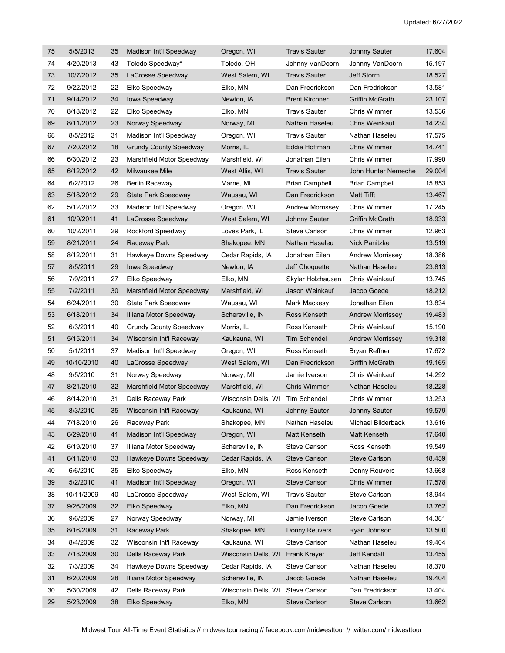| 75 | 5/5/2013   | 35 | Madison Int'l Speedway        | Oregon, WI          | <b>Travis Sauter</b>    | Johnny Sauter           | 17.604 |
|----|------------|----|-------------------------------|---------------------|-------------------------|-------------------------|--------|
| 74 | 4/20/2013  | 43 | Toledo Speedway*              | Toledo, OH          | Johnny VanDoorn         | Johnny VanDoorn         | 15.197 |
| 73 | 10/7/2012  | 35 | LaCrosse Speedway             | West Salem, WI      | <b>Travis Sauter</b>    | Jeff Storm              | 18.527 |
| 72 | 9/22/2012  | 22 | Elko Speedway                 | Elko, MN            | Dan Fredrickson         | Dan Fredrickson         | 13.581 |
| 71 | 9/14/2012  | 34 | lowa Speedway                 | Newton, IA          | <b>Brent Kirchner</b>   | <b>Griffin McGrath</b>  | 23.107 |
| 70 | 8/18/2012  | 22 | Elko Speedway                 | Elko, MN            | <b>Travis Sauter</b>    | Chris Wimmer            | 13.536 |
| 69 | 8/11/2012  | 23 | Norway Speedway               | Norway, MI          | Nathan Haseleu          | Chris Weinkauf          | 14.234 |
| 68 | 8/5/2012   | 31 | Madison Int'l Speedway        | Oregon, WI          | <b>Travis Sauter</b>    | Nathan Haseleu          | 17.575 |
| 67 | 7/20/2012  | 18 | <b>Grundy County Speedway</b> | Morris, IL          | Eddie Hoffman           | <b>Chris Wimmer</b>     | 14.741 |
| 66 | 6/30/2012  | 23 | Marshfield Motor Speedway     | Marshfield, WI      | Jonathan Eilen          | Chris Wimmer            | 17.990 |
| 65 | 6/12/2012  | 42 | Milwaukee Mile                | West Allis, WI      | <b>Travis Sauter</b>    | John Hunter Nemeche     | 29.004 |
| 64 | 6/2/2012   | 26 | <b>Berlin Raceway</b>         | Marne, MI           | Brian Campbell          | <b>Brian Campbell</b>   | 15.853 |
| 63 | 5/18/2012  | 29 | <b>State Park Speedway</b>    | Wausau, WI          | Dan Fredrickson         | <b>Matt Tifft</b>       | 13.467 |
| 62 | 5/12/2012  | 33 | Madison Int'l Speedway        | Oregon, WI          | <b>Andrew Morrissey</b> | Chris Wimmer            | 17.245 |
| 61 | 10/9/2011  | 41 | LaCrosse Speedway             | West Salem, WI      | <b>Johnny Sauter</b>    | <b>Griffin McGrath</b>  | 18.933 |
| 60 | 10/2/2011  | 29 | Rockford Speedway             | Loves Park, IL      | Steve Carlson           | Chris Wimmer            | 12.963 |
| 59 | 8/21/2011  | 24 | Raceway Park                  | Shakopee, MN        | Nathan Haseleu          | Nick Panitzke           | 13.519 |
| 58 | 8/12/2011  | 31 | Hawkeye Downs Speedway        | Cedar Rapids, IA    | Jonathan Eilen          | <b>Andrew Morrissey</b> | 18.386 |
| 57 | 8/5/2011   | 29 | Iowa Speedway                 | Newton, IA          | Jeff Choquette          | Nathan Haseleu          | 23.813 |
| 56 | 7/9/2011   | 27 | Elko Speedway                 | Elko, MN            | Skylar Holzhausen       | Chris Weinkauf          | 13.745 |
| 55 | 7/2/2011   | 30 | Marshfield Motor Speedway     | Marshfield, WI      | Jason Weinkauf          | Jacob Goede             | 18.212 |
| 54 | 6/24/2011  | 30 | State Park Speedway           | Wausau, WI          | Mark Mackesy            | Jonathan Eilen          | 13.834 |
| 53 | 6/18/2011  | 34 | Illiana Motor Speedway        | Schereville, IN     | Ross Kenseth            | <b>Andrew Morrissey</b> | 19.483 |
| 52 | 6/3/2011   | 40 | <b>Grundy County Speedway</b> | Morris, IL          | Ross Kenseth            | Chris Weinkauf          | 15.190 |
| 51 | 5/15/2011  | 34 | Wisconsin Int'l Raceway       | Kaukauna, WI        | <b>Tim Schendel</b>     | <b>Andrew Morrissey</b> | 19.318 |
| 50 | 5/1/2011   | 37 | Madison Int'l Speedway        | Oregon, WI          | Ross Kenseth            | <b>Bryan Reffner</b>    | 17.672 |
| 49 | 10/10/2010 | 40 | LaCrosse Speedway             | West Salem, WI      | Dan Fredrickson         | <b>Griffin McGrath</b>  | 19.165 |
| 48 | 9/5/2010   | 31 | Norway Speedway               | Norway, MI          | Jamie Iverson           | Chris Weinkauf          | 14.292 |
| 47 | 8/21/2010  | 32 | Marshfield Motor Speedway     | Marshfield, WI      | <b>Chris Wimmer</b>     | Nathan Haseleu          | 18.228 |
| 46 | 8/14/2010  | 31 | Dells Raceway Park            | Wisconsin Dells, WI | Tim Schendel            | Chris Wimmer            | 13.253 |
| 45 | 8/3/2010   | 35 | Wisconsin Int'l Raceway       | Kaukauna, WI        | <b>Johnny Sauter</b>    | <b>Johnny Sauter</b>    | 19.579 |
| 44 | 7/18/2010  | 26 | Raceway Park                  | Shakopee, MN        | Nathan Haseleu          | Michael Bilderback      | 13.616 |
| 43 | 6/29/2010  | 41 | Madison Int'l Speedway        | Oregon, WI          | Matt Kenseth            | Matt Kenseth            | 17.640 |
| 42 | 6/19/2010  | 37 | Illiana Motor Speedway        | Schereville, IN     | Steve Carlson           | Ross Kenseth            | 19.549 |
| 41 | 6/11/2010  | 33 | Hawkeye Downs Speedway        | Cedar Rapids, IA    | <b>Steve Carlson</b>    | <b>Steve Carlson</b>    | 18.459 |
| 40 | 6/6/2010   | 35 | Elko Speedway                 | Elko, MN            | Ross Kenseth            | Donny Reuvers           | 13.668 |
| 39 | 5/2/2010   | 41 | Madison Int'l Speedway        | Oregon, WI          | <b>Steve Carlson</b>    | Chris Wimmer            | 17.578 |
| 38 | 10/11/2009 | 40 | LaCrosse Speedway             | West Salem, WI      | <b>Travis Sauter</b>    | Steve Carlson           | 18.944 |
| 37 | 9/26/2009  | 32 | Elko Speedway                 | Elko, MN            | Dan Fredrickson         | Jacob Goede             | 13.762 |
| 36 | 9/6/2009   | 27 | Norway Speedway               | Norway, MI          | Jamie Iverson           | Steve Carlson           | 14.381 |
| 35 | 8/16/2009  | 31 | Raceway Park                  | Shakopee, MN        | Donny Reuvers           | Ryan Johnson            | 13.500 |
| 34 | 8/4/2009   | 32 | Wisconsin Int'l Raceway       | Kaukauna, WI        | Steve Carlson           | Nathan Haseleu          | 19.404 |
| 33 | 7/18/2009  | 30 | <b>Dells Raceway Park</b>     | Wisconsin Dells, WI | <b>Frank Kreyer</b>     | Jeff Kendall            | 13.455 |
| 32 | 7/3/2009   | 34 | Hawkeye Downs Speedway        | Cedar Rapids, IA    | Steve Carlson           | Nathan Haseleu          | 18.370 |
| 31 | 6/20/2009  | 28 | Illiana Motor Speedway        | Schereville, IN     | Jacob Goede             | Nathan Haseleu          | 19.404 |
| 30 | 5/30/2009  | 42 | Dells Raceway Park            | Wisconsin Dells, WI | Steve Carlson           | Dan Fredrickson         | 13.404 |
| 29 | 5/23/2009  | 38 | Elko Speedway                 | Elko, MN            | <b>Steve Carlson</b>    | Steve Carlson           | 13.662 |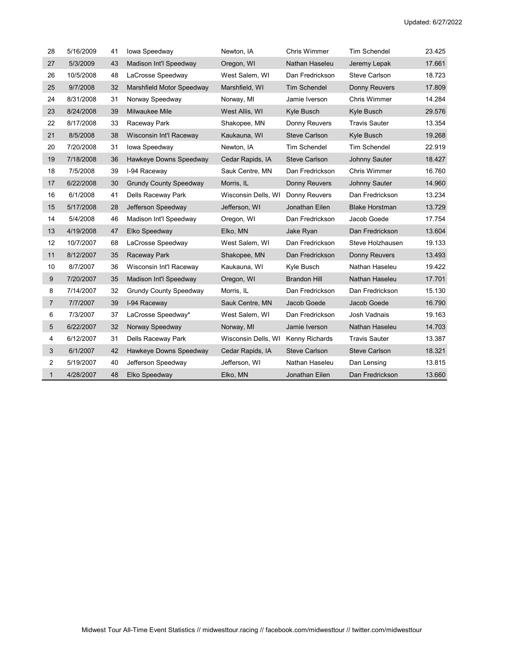| 28           | 5/16/2009 | 41 | Iowa Speedway                 | Newton, IA          | Chris Wimmer         | <b>Tim Schendel</b>   | 23.425 |
|--------------|-----------|----|-------------------------------|---------------------|----------------------|-----------------------|--------|
| 27           | 5/3/2009  | 43 | Madison Int'l Speedway        | Oregon, WI          | Nathan Haseleu       | Jeremy Lepak          | 17.661 |
| 26           | 10/5/2008 | 48 | LaCrosse Speedway             | West Salem, WI      | Dan Fredrickson      | <b>Steve Carlson</b>  | 18.723 |
| 25           | 9/7/2008  | 32 | Marshfield Motor Speedway     | Marshfield, WI      | <b>Tim Schendel</b>  | <b>Donny Reuvers</b>  | 17.809 |
| 24           | 8/31/2008 | 31 | Norway Speedway               | Norway, MI          | Jamie Iverson        | Chris Wimmer          | 14.284 |
| 23           | 8/24/2008 | 39 | <b>Milwaukee Mile</b>         | West Allis, WI      | Kyle Busch           | Kyle Busch            | 29.576 |
| 22           | 8/17/2008 | 33 | Raceway Park                  | Shakopee, MN        | Donny Reuvers        | <b>Travis Sauter</b>  | 13.354 |
| 21           | 8/5/2008  | 38 | Wisconsin Int'l Raceway       | Kaukauna, WI        | <b>Steve Carlson</b> | Kyle Busch            | 19.268 |
| 20           | 7/20/2008 | 31 | Iowa Speedway                 | Newton, IA          | <b>Tim Schendel</b>  | <b>Tim Schendel</b>   | 22.919 |
| 19           | 7/18/2008 | 36 | Hawkeye Downs Speedway        | Cedar Rapids, IA    | <b>Steve Carlson</b> | <b>Johnny Sauter</b>  | 18.427 |
| 18           | 7/5/2008  | 39 | I-94 Raceway                  | Sauk Centre, MN     | Dan Fredrickson      | Chris Wimmer          | 16.760 |
| 17           | 6/22/2008 | 30 | <b>Grundy County Speedway</b> | Morris, IL          | Donny Reuvers        | Johnny Sauter         | 14.960 |
| 16           | 6/1/2008  | 41 | Dells Raceway Park            | Wisconsin Dells, WI | Donny Reuvers        | Dan Fredrickson       | 13.234 |
| 15           | 5/17/2008 | 28 | Jefferson Speedway            | Jefferson, WI       | Jonathan Eilen       | <b>Blake Horstman</b> | 13.729 |
| 14           | 5/4/2008  | 46 | Madison Int'l Speedway        | Oregon, WI          | Dan Fredrickson      | Jacob Goede           | 17.754 |
| 13           | 4/19/2008 | 47 | Elko Speedway                 | Elko, MN            | Jake Ryan            | Dan Fredrickson       | 13.604 |
| 12           | 10/7/2007 | 68 | LaCrosse Speedway             | West Salem, WI      | Dan Fredrickson      | Steve Holzhausen      | 19.133 |
| 11           | 8/12/2007 | 35 | Raceway Park                  | Shakopee, MN        | Dan Fredrickson      | Donny Reuvers         | 13.493 |
| 10           | 8/7/2007  | 36 | Wisconsin Int'l Raceway       | Kaukauna, WI        | Kyle Busch           | Nathan Haseleu        | 19.422 |
| 9            | 7/20/2007 | 35 | Madison Int'l Speedway        | Oregon, WI          | <b>Brandon Hill</b>  | Nathan Haseleu        | 17.701 |
| 8            | 7/14/2007 | 32 | <b>Grundy County Speedway</b> | Morris, IL          | Dan Fredrickson      | Dan Fredrickson       | 15.130 |
| 7            | 7/7/2007  | 39 | I-94 Raceway                  | Sauk Centre, MN     | Jacob Goede          | Jacob Goede           | 16.790 |
| 6            | 7/3/2007  | 37 | LaCrosse Speedway*            | West Salem, WI      | Dan Fredrickson      | Josh Vadnais          | 19.163 |
| 5            | 6/22/2007 | 32 | Norway Speedway               | Norway, MI          | Jamie Iverson        | Nathan Haseleu        | 14.703 |
| 4            | 6/12/2007 | 31 | Dells Raceway Park            | Wisconsin Dells, WI | Kenny Richards       | <b>Travis Sauter</b>  | 13.387 |
| 3            | 6/1/2007  | 42 | Hawkeye Downs Speedway        | Cedar Rapids, IA    | <b>Steve Carlson</b> | <b>Steve Carlson</b>  | 18.321 |
| 2            | 5/19/2007 | 40 | Jefferson Speedway            | Jefferson, WI       | Nathan Haseleu       | Dan Lensing           | 13.815 |
| $\mathbf{1}$ | 4/28/2007 | 48 | Elko Speedway                 | Elko, MN            | Jonathan Eilen       | Dan Fredrickson       | 13.660 |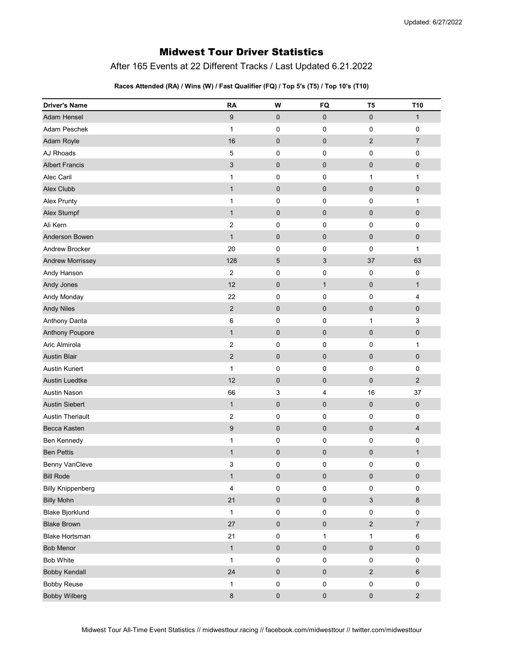# Midwest Tour Driver Statistics

After 165 Events at 22 Different Tracks / Last Updated 6.21.2022

### Races Attended (RA) / Wins (W) / Fast Qualifier (FQ) / Top 5's (T5) / Top 10's (T10)

| <b>Driver's Name</b>     | <b>RA</b>      | W                   | FQ           | T <sub>5</sub> | T <sub>10</sub>  |
|--------------------------|----------------|---------------------|--------------|----------------|------------------|
| <b>Adam Hensel</b>       | 9              | 0                   | $\mathbf 0$  | $\mathbf 0$    | $\mathbf{1}$     |
| Adam Peschek             | $\mathbf{1}$   | $\pmb{0}$           | $\pmb{0}$    | 0              | $\pmb{0}$        |
| Adam Royle               | 16             | $\pmb{0}$           | $\pmb{0}$    | $\overline{2}$ | $\overline{7}$   |
| AJ Rhoads                | 5              | $\mathbf 0$         | 0            | 0              | $\pmb{0}$        |
| <b>Albert Francis</b>    | $\sqrt{3}$     | $\pmb{0}$           | $\pmb{0}$    | $\pmb{0}$      | $\pmb{0}$        |
| Alec Caril               | $\mathbf{1}$   | 0                   | 0            | $\mathbf{1}$   | 1                |
| Alex Clubb               | $\mathbf{1}$   | $\pmb{0}$           | $\pmb{0}$    | $\overline{0}$ | $\pmb{0}$        |
| Alex Prunty              | $\mathbf{1}$   | 0                   | 0            | 0              | $\mathbf{1}$     |
| Alex Stumpf              | $\mathbf{1}$   | $\pmb{0}$           | $\pmb{0}$    | $\mathbf 0$    | 0                |
| Ali Kern                 | $\overline{2}$ | 0                   | $\mathbf 0$  | 0              | 0                |
| Anderson Bowen           | $\mathbf{1}$   | $\pmb{0}$           | $\pmb{0}$    | $\pmb{0}$      | 0                |
| Andrew Brocker           | 20             | $\pmb{0}$           | $\pmb{0}$    | 0              | $\mathbf{1}$     |
| <b>Andrew Morrissey</b>  | 128            | 5                   | 3            | 37             | 63               |
| Andy Hanson              | $\overline{2}$ | $\pmb{0}$           | $\mathbf 0$  | 0              | $\pmb{0}$        |
| Andy Jones               | 12             | $\pmb{0}$           | $\mathbf{1}$ | $\pmb{0}$      | $\mathbf{1}$     |
| Andy Monday              | 22             | $\pmb{0}$           | $\mathbf 0$  | 0              | 4                |
| <b>Andy Niles</b>        | $\overline{2}$ | $\pmb{0}$           | $\pmb{0}$    | $\pmb{0}$      | 0                |
| Anthony Danta            | 6              | $\pmb{0}$           | 0            | $\mathbf{1}$   | 3                |
| Anthony Poupore          | $\mathbf{1}$   | $\pmb{0}$           | $\pmb{0}$    | $\mathbf 0$    | $\pmb{0}$        |
| Aric Almirola            | $\overline{2}$ | 0                   | 0            | 0              | $\mathbf{1}$     |
| <b>Austin Blair</b>      | $\overline{2}$ | $\pmb{0}$           | $\pmb{0}$    | $\mathbf 0$    | $\pmb{0}$        |
| <b>Austin Kunert</b>     | $\mathbf{1}$   | $\pmb{0}$           | $\mathbf 0$  | 0              | $\pmb{0}$        |
| <b>Austin Luedtke</b>    | 12             | $\pmb{0}$           | $\mathbf 0$  | $\mathbf 0$    | $\overline{2}$   |
| <b>Austin Nason</b>      | 66             | 3                   | 4            | 16             | 37               |
| <b>Austin Siebert</b>    | $\mathbf{1}$   | $\pmb{0}$           | $\mathbf 0$  | $\pmb{0}$      | 0                |
| <b>Austin Theriault</b>  | $\overline{2}$ | $\pmb{0}$           | 0            | $\mathbf 0$    | 0                |
| Becca Kasten             | 9              | $\pmb{0}$           | $\pmb{0}$    | $\mathbf 0$    | 4                |
| Ben Kennedy              | $\mathbf{1}$   | $\pmb{0}$           | 0            | 0              | $\pmb{0}$        |
| <b>Ben Pettis</b>        | $\mathbf{1}$   | $\pmb{0}$           | $\pmb{0}$    | $\mathbf 0$    | $\mathbf{1}$     |
| Benny VanCleve           | 3              | 0                   | 0            | 0              | 0                |
| <b>Bill Rode</b>         | $\mathbf{1}$   | $\pmb{0}$           | $\pmb{0}$    | $\pmb{0}$      | $\pmb{0}$        |
| <b>Billy Knippenberg</b> | 4              | $\pmb{0}$           | $\pmb{0}$    | 0              | 0                |
| <b>Billy Mohn</b>        | 21             | $\pmb{0}$           | $\pmb{0}$    | $\mathfrak{S}$ | 8                |
| <b>Blake Bjorklund</b>   | $\mathbf{1}$   | $\pmb{0}$           | $\pmb{0}$    | 0              | $\pmb{0}$        |
| <b>Blake Brown</b>       | 27             | $\pmb{0}$           | $\pmb{0}$    | $\sqrt{2}$     | $\boldsymbol{7}$ |
| <b>Blake Hortsman</b>    | 21             | $\pmb{0}$           | 1            | $\mathbf 1$    | $\,6\,$          |
| Bob Menor                | $\mathbf{1}$   | $\pmb{0}$           | $\pmb{0}$    | $\pmb{0}$      | $\pmb{0}$        |
| Bob White                | $\mathbf{1}$   | $\pmb{0}$           | $\pmb{0}$    | 0              | $\pmb{0}$        |
| <b>Bobby Kendall</b>     | 24             | $\mathsf{O}\xspace$ | $\pmb{0}$    | $\sqrt{2}$     | 6                |
| <b>Bobby Reuse</b>       | $\mathbf{1}$   | $\pmb{0}$           | $\pmb{0}$    | 0              | $\pmb{0}$        |
| <b>Bobby Wilberg</b>     | $\bf 8$        | $\mathsf{O}\xspace$ | $\mathbf 0$  | $\pmb{0}$      | $\mathbf 2$      |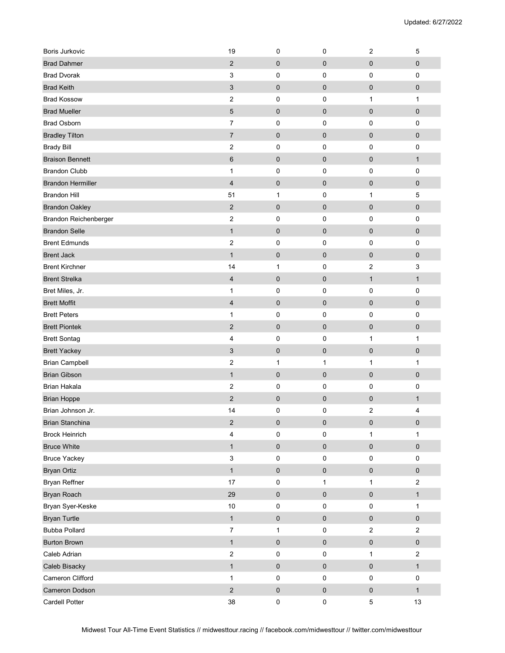| <b>Boris Jurkovic</b>    | 19                        | 0            | $\pmb{0}$    | $\sqrt{2}$              | 5                         |
|--------------------------|---------------------------|--------------|--------------|-------------------------|---------------------------|
| <b>Brad Dahmer</b>       | $\overline{2}$            | 0            | $\mathbf 0$  | $\pmb{0}$               | $\pmb{0}$                 |
| <b>Brad Dvorak</b>       | 3                         | 0            | 0            | 0                       | $\pmb{0}$                 |
| <b>Brad Keith</b>        | $\ensuremath{\mathsf{3}}$ | 0            | $\mathbf 0$  | $\mathbf 0$             | $\pmb{0}$                 |
| <b>Brad Kossow</b>       | $\overline{\mathbf{c}}$   | 0            | $\pmb{0}$    | 1                       | $\mathbf{1}$              |
| <b>Brad Mueller</b>      | $\mathbf 5$               | 0            | $\pmb{0}$    | $\pmb{0}$               | $\pmb{0}$                 |
| <b>Brad Osborn</b>       | $\overline{7}$            | 0            | $\mathbf 0$  | $\mathbf 0$             | $\mathbf 0$               |
| <b>Bradley Tilton</b>    | $\overline{7}$            | 0            | $\pmb{0}$    | $\mathbf 0$             | $\pmb{0}$                 |
| <b>Brady Bill</b>        | $\overline{2}$            | 0            | 0            | 0                       | $\pmb{0}$                 |
| <b>Braison Bennett</b>   | $6\phantom{1}$            | 0            | $\pmb{0}$    | $\mathbf 0$             | $\mathbf{1}$              |
| <b>Brandon Clubb</b>     | $\mathbf{1}$              | 0            | $\mathbf 0$  | 0                       | $\pmb{0}$                 |
| <b>Brandon Hermiller</b> | $\overline{\mathbf{4}}$   | 0            | $\pmb{0}$    | $\mathbf 0$             | $\pmb{0}$                 |
| <b>Brandon Hill</b>      | 51                        | $\mathbf{1}$ | $\pmb{0}$    | 1                       | 5                         |
| <b>Brandon Oakley</b>    | $\mathbf 2$               | 0            | $\pmb{0}$    | $\pmb{0}$               | $\pmb{0}$                 |
| Brandon Reichenberger    | $\overline{\mathbf{c}}$   | 0            | $\mathbf 0$  | 0                       | $\pmb{0}$                 |
| <b>Brandon Selle</b>     | $\mathbf{1}$              | 0            | $\mathbf 0$  | $\mathbf 0$             | $\pmb{0}$                 |
| <b>Brent Edmunds</b>     | $\boldsymbol{2}$          | 0            | 0            | 0                       | $\pmb{0}$                 |
| <b>Brent Jack</b>        | $\mathbf{1}$              | $\pmb{0}$    | $\mathbf 0$  | $\pmb{0}$               | $\pmb{0}$                 |
| <b>Brent Kirchner</b>    | 14                        | 1            | $\mathbf 0$  | $\overline{c}$          | $\ensuremath{\mathsf{3}}$ |
| <b>Brent Strelka</b>     | $\overline{\mathbf{4}}$   | 0            | $\pmb{0}$    | $\mathbf{1}$            | $\mathbf{1}$              |
| Bret Miles, Jr.          | $\mathbf{1}$              | 0            | $\mathbf 0$  | 0                       | $\mathbf 0$               |
| <b>Brett Moffit</b>      | $\overline{4}$            | $\mathbf 0$  | $\pmb{0}$    | $\mathbf 0$             | $\pmb{0}$                 |
| <b>Brett Peters</b>      | 1                         | 0            | $\pmb{0}$    | 0                       | 0                         |
| <b>Brett Piontek</b>     | $\overline{2}$            | 0            | $\pmb{0}$    | $\pmb{0}$               | $\pmb{0}$                 |
| <b>Brett Sontag</b>      | 4                         | 0            | $\pmb{0}$    | $\mathbf{1}$            | $\mathbf{1}$              |
| <b>Brett Yackey</b>      | 3                         | 0            | $\pmb{0}$    | $\pmb{0}$               | $\pmb{0}$                 |
| <b>Brian Campbell</b>    | $\boldsymbol{2}$          | 1            | 1            | $\mathbf{1}$            | 1                         |
| <b>Brian Gibson</b>      | $\mathbf{1}$              | 0            | $\mathbf 0$  | $\mathbf 0$             | $\pmb{0}$                 |
| <b>Brian Hakala</b>      | $\overline{\mathbf{c}}$   | 0            | $\mathbf 0$  | 0                       | $\pmb{0}$                 |
| <b>Brian Hoppe</b>       | $\overline{2}$            | 0            | $\pmb{0}$    | $\pmb{0}$               | $\mathbf{1}$              |
| Brian Johnson Jr.        | 14                        | 0            | 0            | $\overline{\mathbf{c}}$ | 4                         |
| Brian Stanchina          | $\overline{2}$            | 0            | $\pmb{0}$    | $\pmb{0}$               | $\pmb{0}$                 |
| <b>Brock Heinrich</b>    | 4                         | 0            | $\mathbf 0$  | 1                       | $\mathbf{1}$              |
| <b>Bruce White</b>       | $\mathbf{1}$              | $\pmb{0}$    | $\pmb{0}$    | $\pmb{0}$               | $\pmb{0}$                 |
| <b>Bruce Yackey</b>      | $\ensuremath{\mathsf{3}}$ | 0            | $\pmb{0}$    | 0                       | $\pmb{0}$                 |
| <b>Bryan Ortiz</b>       | $\mathbf{1}$              | 0            | $\pmb{0}$    | $\pmb{0}$               | $\pmb{0}$                 |
| Bryan Reffner            | 17                        | $\mathsf 0$  | $\mathbf{1}$ | $\mathbf{1}$            | $\sqrt{2}$                |
| Bryan Roach              | 29                        | 0            | $\pmb{0}$    | $\pmb{0}$               | $\mathbf{1}$              |
| Bryan Syer-Keske         | $10\,$                    | 0            | $\pmb{0}$    | $\pmb{0}$               | $\mathbf{1}$              |
| <b>Bryan Turtle</b>      | $\mathbf{1}$              | 0            | $\pmb{0}$    | $\pmb{0}$               | $\pmb{0}$                 |
| <b>Bubba Pollard</b>     | $\overline{7}$            | $\mathbf{1}$ | $\pmb{0}$    | $\overline{c}$          | $\overline{2}$            |
| <b>Burton Brown</b>      | $\mathbf{1}$              | 0            | $\pmb{0}$    | $\pmb{0}$               | $\pmb{0}$                 |
| Caleb Adrian             | $\overline{c}$            | 0            | $\pmb{0}$    | $\mathbf{1}$            | $\overline{2}$            |
| Caleb Bisacky            | $\mathbf{1}$              | $\pmb{0}$    | $\pmb{0}$    | $\pmb{0}$               | $\mathbf{1}$              |
| Cameron Clifford         | $\mathbf{1}$              | 0            | $\pmb{0}$    | $\pmb{0}$               | $\pmb{0}$                 |
| Cameron Dodson           | $\sqrt{2}$                | 0            | $\pmb{0}$    | $\pmb{0}$               | $\mathbf{1}$              |
| Cardell Potter           | 38                        | 0            | $\pmb{0}$    | $\,$ 5 $\,$             | 13                        |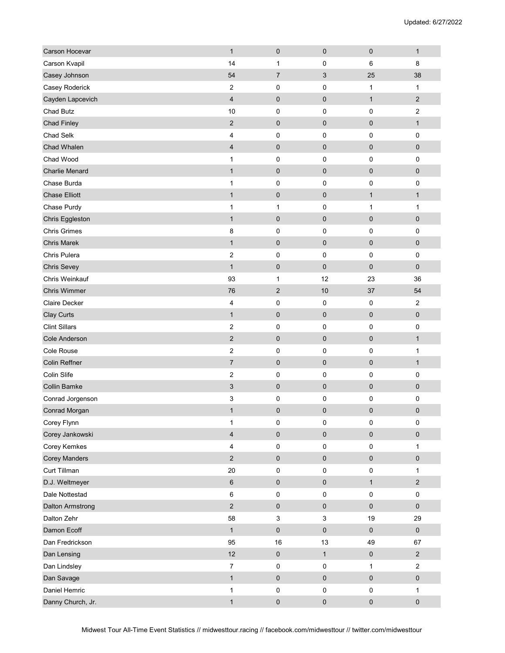| Carson Hocevar          | $\mathbf{1}$             | 0                         | $\pmb{0}$                 | $\pmb{0}$    | $\mathbf{1}$   |
|-------------------------|--------------------------|---------------------------|---------------------------|--------------|----------------|
| Carson Kvapil           | 14                       | 1                         | $\mathbf 0$               | 6            | 8              |
| Casey Johnson           | 54                       | $\overline{7}$            | $\sqrt{3}$                | 25           | 38             |
| Casey Roderick          | $\sqrt{2}$               | 0                         | 0                         | 1            | $\mathbf{1}$   |
| Cayden Lapcevich        | $\overline{4}$           | $\mathbf 0$               | $\mathbf 0$               | $\mathbf{1}$ | $\sqrt{2}$     |
| Chad Butz               | 10                       | 0                         | 0                         | $\pmb{0}$    | $\mathbf 2$    |
| <b>Chad Finley</b>      | 2                        | 0                         | $\mathbf 0$               | $\mathbf 0$  | $\mathbf{1}$   |
| Chad Selk               | 4                        | 0                         | $\pmb{0}$                 | $\pmb{0}$    | $\pmb{0}$      |
| Chad Whalen             | $\overline{\mathcal{A}}$ | $\pmb{0}$                 | $\pmb{0}$                 | $\pmb{0}$    | $\pmb{0}$      |
| Chad Wood               | $\mathbf{1}$             | 0                         | 0                         | $\mathbf 0$  | 0              |
| <b>Charlie Menard</b>   | $\mathbf{1}$             | 0                         | $\mathbf 0$               | $\mathbf 0$  | $\pmb{0}$      |
| Chase Burda             | $\mathbf{1}$             | 0                         | 0                         | 0            | $\pmb{0}$      |
| <b>Chase Elliott</b>    | $\mathbf{1}$             | 0                         | $\pmb{0}$                 | $\mathbf{1}$ | $\mathbf{1}$   |
| Chase Purdy             | 1                        | 1                         | 0                         | 1            | 1              |
| Chris Eggleston         | $\mathbf{1}$             | 0                         | $\pmb{0}$                 | $\pmb{0}$    | 0              |
| <b>Chris Grimes</b>     | 8                        | 0                         | $\mathbf 0$               | 0            | $\mathbf 0$    |
| <b>Chris Marek</b>      | $\mathbf{1}$             | $\mathbf 0$               | $\mathbf 0$               | $\mathbf 0$  | $\pmb{0}$      |
| Chris Pulera            | $\overline{c}$           | 0                         | 0                         | 0            | $\pmb{0}$      |
| <b>Chris Sevey</b>      | $\mathbf{1}$             | 0                         | $\mathbf 0$               | $\mathbf 0$  | $\pmb{0}$      |
| Chris Weinkauf          | 93                       | 1                         | 12                        | 23           | 36             |
| <b>Chris Wimmer</b>     | 76                       | $\overline{2}$            | 10                        | 37           | 54             |
| <b>Claire Decker</b>    | 4                        | 0                         | 0                         | 0            | $\mathbf 2$    |
| Clay Curts              | $\mathbf{1}$             | 0                         | $\pmb{0}$                 | $\mathbf 0$  | $\pmb{0}$      |
| <b>Clint Sillars</b>    | $\overline{c}$           | 0                         | 0                         | 0            | $\pmb{0}$      |
| Cole Anderson           | $\mathbf 2$              | 0                         | $\pmb{0}$                 | $\mathbf 0$  | $\mathbf{1}$   |
| Cole Rouse              | $\overline{2}$           | 0                         | 0                         | $\mathbf 0$  | 1              |
| Colin Reffner           | $\overline{7}$           | $\pmb{0}$                 | $\pmb{0}$                 | $\pmb{0}$    | $\mathbf{1}$   |
| Colin Slife             | $\overline{\mathbf{c}}$  | 0                         | 0                         | 0            | 0              |
| <b>Collin Bamke</b>     | 3                        | $\pmb{0}$                 | $\mathbf 0$               | $\mathbf 0$  | 0              |
| Conrad Jorgenson        | 3                        | 0                         | 0                         | 0            | $\pmb{0}$      |
| Conrad Morgan           | $\mathbf{1}$             | $\pmb{0}$                 | 0                         | $\pmb{0}$    | $\pmb{0}$      |
| Corey Flynn             | $\mathbf{1}$             | 0                         | $\pmb{0}$                 | $\pmb{0}$    | $\pmb{0}$      |
| Corey Jankowski         | $\overline{\mathbf{4}}$  | 0                         | $\pmb{0}$                 | $\pmb{0}$    | $\pmb{0}$      |
| Corey Kemkes            | 4                        | 0                         | $\pmb{0}$                 | $\pmb{0}$    | $\mathbf{1}$   |
| <b>Corey Manders</b>    | $\sqrt{2}$               | 0                         | $\pmb{0}$                 | $\pmb{0}$    | $\pmb{0}$      |
| Curt Tillman            | 20                       | 0                         | $\pmb{0}$                 | $\pmb{0}$    | $\mathbf{1}$   |
| D.J. Weltmeyer          | $\,6\,$                  | 0                         | $\pmb{0}$                 | $\mathbf{1}$ | $\sqrt{2}$     |
| Dale Nottestad          | $\,6\,$                  | 0                         | $\pmb{0}$                 | $\pmb{0}$    | $\pmb{0}$      |
| <b>Dalton Armstrong</b> | $\overline{2}$           | $\pmb{0}$                 | $\mathbf 0$               | $\pmb{0}$    | $\pmb{0}$      |
| Dalton Zehr             | 58                       | $\ensuremath{\mathsf{3}}$ | $\ensuremath{\mathsf{3}}$ | 19           | 29             |
| Damon Ecoff             | $\mathbf{1}$             | $\pmb{0}$                 | $\pmb{0}$                 | $\pmb{0}$    | $\pmb{0}$      |
| Dan Fredrickson         | 95                       | $16\,$                    | 13                        | 49           | 67             |
| Dan Lensing             | 12                       | $\pmb{0}$                 | $\mathbf{1}$              | $\pmb{0}$    | $\overline{2}$ |
| Dan Lindsley            | $\boldsymbol{7}$         | 0                         | $\pmb{0}$                 | $\mathbf{1}$ | $\mathbf 2$    |
| Dan Savage              | $\mathbf{1}$             | 0                         | $\mathbf 0$               | $\pmb{0}$    | $\pmb{0}$      |
| Daniel Hemric           | $\mathbf{1}$             | $\pmb{0}$                 | $\pmb{0}$                 | $\pmb{0}$    | $\mathbf{1}$   |
| Danny Church, Jr.       | $\mathbf{1}$             | 0                         | $\pmb{0}$                 | $\pmb{0}$    | $\pmb{0}$      |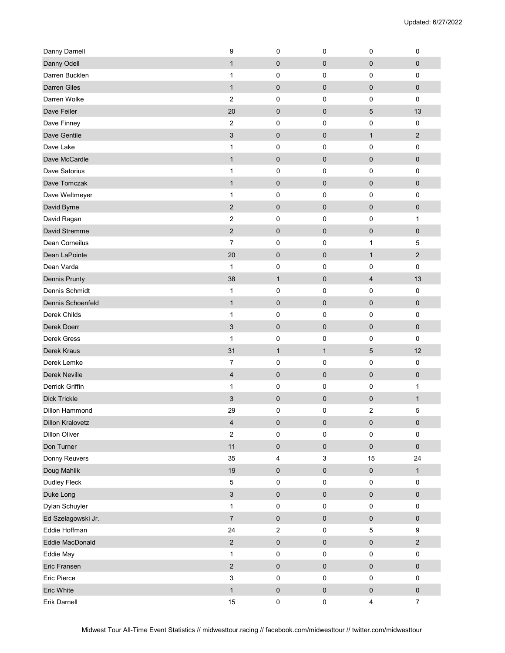| Danny Darnell           | 9                         | 0              | $\mathbf 0$               | $\mathbf 0$             | 0                |
|-------------------------|---------------------------|----------------|---------------------------|-------------------------|------------------|
| Danny Odell             | $\mathbf{1}$              | 0              | $\mathbf 0$               | $\mathbf 0$             | $\pmb{0}$        |
| Darren Bucklen          | 1                         | 0              | $\mathbf 0$               | 0                       | 0                |
| <b>Darren Giles</b>     | $\mathbf{1}$              | 0              | $\mathbf 0$               | $\mathbf 0$             | $\pmb{0}$        |
| Darren Wolke            | $\overline{2}$            | 0              | 0                         | 0                       | $\pmb{0}$        |
| Dave Feiler             | 20                        | 0              | $\mathbf 0$               | $5\phantom{.0}$         | 13               |
| Dave Finney             | $\overline{2}$            | 0              | $\mathbf 0$               | 0                       | $\mathbf 0$      |
| Dave Gentile            | $\ensuremath{\mathsf{3}}$ | $\pmb{0}$      | $\pmb{0}$                 | $\mathbf{1}$            | $\sqrt{2}$       |
| Dave Lake               | 1                         | 0              | $\mathbf 0$               | 0                       | $\pmb{0}$        |
| Dave McCardle           | $\mathbf{1}$              | 0              | $\mathbf 0$               | $\mathbf 0$             | $\pmb{0}$        |
| Dave Satorius           | 1                         | 0              | $\mathbf 0$               | 0                       | $\pmb{0}$        |
| Dave Tomczak            | $\mathbf{1}$              | 0              | $\mathbf 0$               | $\mathbf 0$             | $\pmb{0}$        |
| Dave Weltmeyer          | 1                         | 0              | $\mathbf 0$               | 0                       | $\pmb{0}$        |
| David Byrne             | $\overline{2}$            | 0              | $\pmb{0}$                 | $\mathbf 0$             | $\pmb{0}$        |
| David Ragan             | 2                         | 0              | $\mathbf 0$               | 0                       | $\mathbf{1}$     |
| David Stremme           | $\overline{2}$            | 0              | $\mathbf 0$               | $\pmb{0}$               | $\pmb{0}$        |
| Dean Corneilus          | 7                         | 0              | 0                         | 1                       | 5                |
| Dean LaPointe           | 20                        | 0              | $\mathbf 0$               | $\mathbf{1}$            | $\sqrt{2}$       |
| Dean Varda              | $\mathbf{1}$              | 0              | $\mathbf 0$               | 0                       | $\mathbf 0$      |
| <b>Dennis Prunty</b>    | 38                        | $\mathbf{1}$   | $\pmb{0}$                 | $\overline{4}$          | 13               |
| Dennis Schmidt          | 1                         | 0              | $\mathbf 0$               | 0                       | $\pmb{0}$        |
| Dennis Schoenfeld       | $\mathbf{1}$              | $\pmb{0}$      | $\pmb{0}$                 | $\pmb{0}$               | $\pmb{0}$        |
| Derek Childs            | $\mathbf{1}$              | 0              | 0                         | 0                       | $\pmb{0}$        |
| Derek Doerr             | 3                         | 0              | $\pmb{0}$                 | $\mathbf 0$             | $\pmb{0}$        |
| Derek Gress             | $\mathbf 1$               | 0              | 0                         | 0                       | $\pmb{0}$        |
| Derek Kraus             | 31                        | $\mathbf{1}$   | $\mathbf{1}$              | 5                       | 12               |
| Derek Lemke             | 7                         | 0              | $\pmb{0}$                 | 0                       | $\pmb{0}$        |
| Derek Neville           | 4                         | 0              | $\pmb{0}$                 | $\pmb{0}$               | $\pmb{0}$        |
| Derrick Griffin         | $\mathbf{1}$              | 0              | 0                         | 0                       | $\mathbf{1}$     |
| <b>Dick Trickle</b>     | 3                         | 0              | $\mathbf 0$               | $\mathbf 0$             | $\mathbf{1}$     |
| Dillon Hammond          | 29                        | 0              | 0                         | $\boldsymbol{2}$        | 5                |
| <b>Dillon Kralovetz</b> | 4                         | $\pmb{0}$      | $\pmb{0}$                 | $\pmb{0}$               | $\pmb{0}$        |
| <b>Dillon Oliver</b>    | $\mathbf 2$               | 0              | $\pmb{0}$                 | $\pmb{0}$               | $\pmb{0}$        |
| Don Turner              | 11                        | $\pmb{0}$      | $\pmb{0}$                 | $\mathsf{O}\xspace$     | $\pmb{0}$        |
| Donny Reuvers           | 35                        | 4              | $\ensuremath{\mathsf{3}}$ | 15                      | 24               |
| Doug Mahlik             | 19                        | $\pmb{0}$      | $\pmb{0}$                 | $\pmb{0}$               | $\mathbf{1}$     |
| Dudley Fleck            | $\,$ 5 $\,$               | 0              | $\pmb{0}$                 | $\pmb{0}$               | $\pmb{0}$        |
| Duke Long               | $\sqrt{3}$                | $\pmb{0}$      | $\pmb{0}$                 | $\pmb{0}$               | $\pmb{0}$        |
| Dylan Schuyler          | $\mathbf{1}$              | 0              | $\pmb{0}$                 | $\pmb{0}$               | $\pmb{0}$        |
| Ed Szelagowski Jr.      | $\overline{\mathcal{I}}$  | 0              | $\pmb{0}$                 | $\pmb{0}$               | $\pmb{0}$        |
| Eddie Hoffman           | 24                        | $\overline{c}$ | $\pmb{0}$                 | $\mathbf 5$             | $\boldsymbol{9}$ |
| Eddie MacDonald         | $\mathbf 2$               | $\pmb{0}$      | $\pmb{0}$                 | $\pmb{0}$               | $\sqrt{2}$       |
| Eddie May               | $\mathbf{1}$              | 0              | $\pmb{0}$                 | 0                       | $\pmb{0}$        |
| Eric Fransen            | $\mathbf 2$               | $\pmb{0}$      | $\pmb{0}$                 | $\pmb{0}$               | $\pmb{0}$        |
| Eric Pierce             | $\sqrt{3}$                | 0              | $\pmb{0}$                 | $\pmb{0}$               | $\pmb{0}$        |
| Eric White              | $\mathbf{1}$              | $\pmb{0}$      | $\pmb{0}$                 | $\pmb{0}$               | $\pmb{0}$        |
| Erik Darnell            | $15\,$                    | 0              | $\pmb{0}$                 | $\overline{\mathbf{4}}$ | $\boldsymbol{7}$ |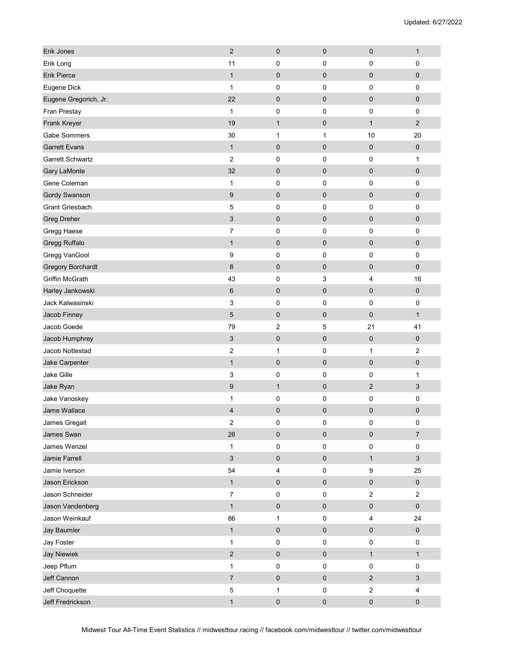| Erik Jones               | $\overline{2}$            | 0            | $\mathbf 0$ | $\mathbf 0$             | $\mathbf{1}$              |
|--------------------------|---------------------------|--------------|-------------|-------------------------|---------------------------|
| Erik Long                | 11                        | 0            | $\mathbf 0$ | 0                       | $\pmb{0}$                 |
| <b>Erik Pierce</b>       | $\mathbf{1}$              | 0            | $\pmb{0}$   | $\pmb{0}$               | $\pmb{0}$                 |
| Eugene Dick              | $\mathbf{1}$              | 0            | $\mathbf 0$ | 0                       | $\mathbf 0$               |
| Eugene Gregorich, Jr.    | 22                        | 0            | $\mathbf 0$ | $\mathbf 0$             | $\pmb{0}$                 |
| Fran Prestay             | $\mathbf{1}$              | 0            | $\mathbf 0$ | 0                       | $\mathbf 0$               |
| Frank Kreyer             | 19                        | $\mathbf{1}$ | $\mathbf 0$ | $\mathbf{1}$            | $\overline{2}$            |
| Gabe Sommers             | 30                        | $\mathbf{1}$ | 1           | 10                      | 20                        |
| <b>Garrett Evans</b>     | $\mathbf{1}$              | 0            | $\pmb{0}$   | $\pmb{0}$               | $\pmb{0}$                 |
| <b>Garrett Schwartz</b>  | $\overline{2}$            | 0            | $\pmb{0}$   | $\pmb{0}$               | $\mathbf{1}$              |
| <b>Gary LaMonte</b>      | 32                        | 0            | $\pmb{0}$   | $\pmb{0}$               | $\pmb{0}$                 |
| Gene Coleman             | 1                         | 0            | 0           | 0                       | $\pmb{0}$                 |
| Gordy Swanson            | $\boldsymbol{9}$          | 0            | $\pmb{0}$   | $\mathbf 0$             | $\pmb{0}$                 |
| <b>Grant Griesbach</b>   | 5                         | 0            | $\pmb{0}$   | 0                       | $\pmb{0}$                 |
| <b>Greg Dreher</b>       | $\ensuremath{\mathsf{3}}$ | 0            | $\pmb{0}$   | $\pmb{0}$               | 0                         |
| Gregg Haese              | $\overline{7}$            | 0            | $\mathbf 0$ | 0                       | $\mathbf 0$               |
| Gregg Ruffalo            | $\mathbf{1}$              | 0            | $\pmb{0}$   | $\pmb{0}$               | 0                         |
| Gregg VanGool            | 9                         | 0            | 0           | 0                       | $\pmb{0}$                 |
| <b>Gregory Borchardt</b> | 8                         | 0            | $\pmb{0}$   | $\mathbf 0$             | $\pmb{0}$                 |
| Griffin McGrath          | 43                        | 0            | 3           | $\overline{4}$          | 16                        |
| Harley Jankowski         | 6                         | 0            | $\mathbf 0$ | $\mathbf 0$             | $\pmb{0}$                 |
| Jack Kalwasinski         | 3                         | 0            | $\pmb{0}$   | 0                       | $\pmb{0}$                 |
| Jacob Finney             | $\mathbf 5$               | 0            | $\pmb{0}$   | $\mathbf 0$             | $\mathbf{1}$              |
| Jacob Goede              | 79                        | 2            | 5           | 21                      | 41                        |
| Jacob Humphrey           | 3                         | 0            | $\mathbf 0$ | $\mathbf 0$             | $\pmb{0}$                 |
| Jacob Nottestad          | $\overline{\mathbf{c}}$   | 1            | 0           | 1                       | 2                         |
| Jake Carpenter           | $\mathbf 1$               | $\pmb{0}$    | $\pmb{0}$   | $\pmb{0}$               | $\pmb{0}$                 |
| Jake Gille               | 3                         | 0            | $\mathbf 0$ | $\mathbf 0$             | 1                         |
| Jake Ryan                | 9                         | $\mathbf{1}$ | $\pmb{0}$   | $\sqrt{2}$              | 3                         |
| Jake Vanoskey            | 1                         | 0            | 0           | 0                       | 0                         |
| Jame Wallace             | $\overline{4}$            | 0            | 0           | $\mathbf 0$             | $\pmb{0}$                 |
| James Gregait            | $\overline{\mathbf{c}}$   | 0            | 0           | $\pmb{0}$               | $\pmb{0}$                 |
| James Swan               | 26                        | 0            | $\pmb{0}$   | $\pmb{0}$               | $\boldsymbol{7}$          |
| James Wenzel             | $\mathbf{1}$              | 0            | $\pmb{0}$   | $\pmb{0}$               | $\pmb{0}$                 |
| Jamie Farrell            | $\sqrt{3}$                | 0            | $\pmb{0}$   | $\mathbf{1}$            | $\ensuremath{\mathsf{3}}$ |
| Jamie Iverson            | 54                        | 4            | $\pmb{0}$   | $\boldsymbol{9}$        | 25                        |
| Jason Erickson           | $\mathbf{1}$              | 0            | $\pmb{0}$   | $\pmb{0}$               | $\pmb{0}$                 |
| Jason Schneider          | $\overline{7}$            | $\pmb{0}$    | $\pmb{0}$   | $\sqrt{2}$              | $\sqrt{2}$                |
| Jason Vandenberg         | $\mathbf{1}$              | $\pmb{0}$    | $\pmb{0}$   | $\pmb{0}$               | $\pmb{0}$                 |
| Jason Weinkauf           | 86                        | 1            | $\pmb{0}$   | $\overline{\mathbf{4}}$ | 24                        |
| Jay Baumler              | $\mathbf{1}$              | $\pmb{0}$    | $\pmb{0}$   | $\pmb{0}$               | $\pmb{0}$                 |
| Jay Foster               | $\mathbf{1}$              | 0            | $\mathbf 0$ | $\pmb{0}$               | $\pmb{0}$                 |
| <b>Jay Niewiek</b>       | $\mathbf 2$               | $\pmb{0}$    | $\pmb{0}$   | $\mathbf{1}$            | $\mathbf{1}$              |
| Jeep Pflum               | $\mathbf{1}$              | $\pmb{0}$    | $\pmb{0}$   | $\pmb{0}$               | $\pmb{0}$                 |
| Jeff Cannon              | $\overline{7}$            | 0            | $\pmb{0}$   | $\sqrt{2}$              | $\ensuremath{\mathsf{3}}$ |
| Jeff Choquette           | $\mathbf 5$               | $\mathbf{1}$ | $\pmb{0}$   | $\sqrt{2}$              | 4                         |
| Jeff Fredrickson         | $\mathbf{1}$              | 0            | $\pmb{0}$   | $\pmb{0}$               | $\pmb{0}$                 |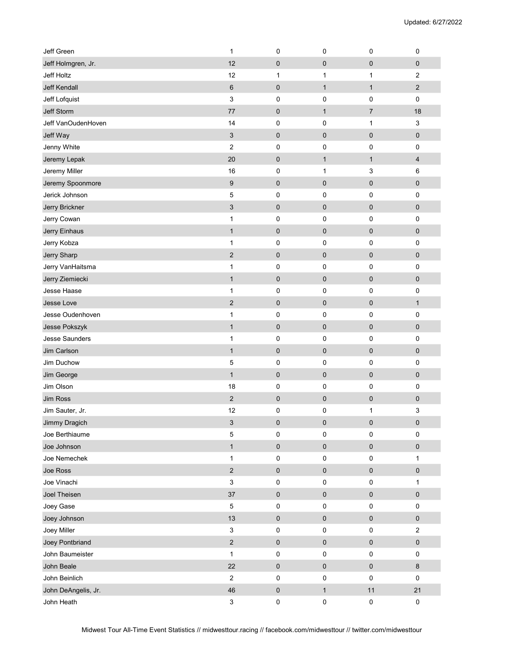| <b>Jeff Green</b>     | 1                         | 0         | 0            | $\mathbf 0$    | 0                         |
|-----------------------|---------------------------|-----------|--------------|----------------|---------------------------|
| Jeff Holmgren, Jr.    | 12                        | 0         | $\pmb{0}$    | $\pmb{0}$      | $\pmb{0}$                 |
| Jeff Holtz            | 12                        | 1         | 1            | 1              | $\sqrt{2}$                |
| <b>Jeff Kendall</b>   | $\,6$                     | 0         | $\mathbf{1}$ | $\mathbf{1}$   | $\sqrt{2}$                |
| Jeff Lofquist         | 3                         | 0         | 0            | $\mathbf 0$    | $\pmb{0}$                 |
| Jeff Storm            | 77                        | 0         | $\mathbf{1}$ | $\overline{7}$ | 18                        |
| Jeff VanOudenHoven    | 14                        | 0         | 0            | 1              | 3                         |
| Jeff Way              | 3                         | $\pmb{0}$ | 0            | $\pmb{0}$      | $\pmb{0}$                 |
| Jenny White           | 2                         | 0         | 0            | 0              | $\pmb{0}$                 |
| Jeremy Lepak          | 20                        | 0         | $\mathbf{1}$ | $\mathbf{1}$   | $\overline{4}$            |
| Jeremy Miller         | 16                        | 0         | 1            | 3              | 6                         |
| Jeremy Spoonmore      | 9                         | $\pmb{0}$ | $\pmb{0}$    | $\pmb{0}$      | $\pmb{0}$                 |
| Jerick Johnson        | 5                         | 0         | $\pmb{0}$    | 0              | $\pmb{0}$                 |
| Jerry Brickner        | 3                         | 0         | $\pmb{0}$    | $\pmb{0}$      | $\pmb{0}$                 |
| Jerry Cowan           | 1                         | 0         | 0            | 0              | $\pmb{0}$                 |
| Jerry Einhaus         | $\mathbf{1}$              | 0         | 0            | $\mathbf 0$    | $\pmb{0}$                 |
| Jerry Kobza           | 1                         | 0         | 0            | 0              | 0                         |
| Jerry Sharp           | $\sqrt{2}$                | 0         | $\pmb{0}$    | $\pmb{0}$      | $\pmb{0}$                 |
| Jerry VanHaitsma      | 1                         | 0         | $\pmb{0}$    | 0              | $\pmb{0}$                 |
| Jerry Ziemiecki       | $\mathbf{1}$              | $\pmb{0}$ | $\pmb{0}$    | $\pmb{0}$      | $\pmb{0}$                 |
| Jesse Haase           | 1                         | 0         | 0            | $\mathbf 0$    | $\pmb{0}$                 |
| Jesse Love            | $\mathbf 2$               | $\pmb{0}$ | 0            | $\pmb{0}$      | $\mathbf{1}$              |
| Jesse Oudenhoven      | 1                         | 0         | 0            | 0              | 0                         |
| Jesse Pokszyk         | $\mathbf{1}$              | $\pmb{0}$ | $\mathbf 0$  | $\mathbf 0$    | $\pmb{0}$                 |
| <b>Jesse Saunders</b> | 1                         | 0         | $\mathbf 0$  | 0              | $\pmb{0}$                 |
| Jim Carlson           | $\mathbf{1}$              | 0         | $\pmb{0}$    | $\pmb{0}$      | $\pmb{0}$                 |
| Jim Duchow            | 5                         | 0         | 0            | $\pmb{0}$      | $\pmb{0}$                 |
| Jim George            | $\mathbf{1}$              | 0         | $\pmb{0}$    | $\pmb{0}$      | $\pmb{0}$                 |
| Jim Olson             | 18                        | 0         | 0            | 0              | $\pmb{0}$                 |
| Jim Ross              | $\overline{2}$            | $\pmb{0}$ | 0            | $\mathbf 0$    | $\boldsymbol{0}$          |
| Jim Sauter, Jr.       | 12                        | 0         | 0            | 1              | $\ensuremath{\mathsf{3}}$ |
| Jimmy Dragich         | $\ensuremath{\mathsf{3}}$ | 0         | $\pmb{0}$    | $\pmb{0}$      | $\pmb{0}$                 |
| Joe Berthiaume        | $\mathbf 5$               | 0         | 0            | $\pmb{0}$      | $\pmb{0}$                 |
| Joe Johnson           | $\mathbf{1}$              | $\pmb{0}$ | $\pmb{0}$    | $\pmb{0}$      | $\pmb{0}$                 |
| Joe Nemechek          | $\mathbf{1}$              | 0         | 0            | $\pmb{0}$      | 1                         |
| Joe Ross              | $\overline{c}$            | $\pmb{0}$ | $\mathsf 0$  | $\pmb{0}$      | $\pmb{0}$                 |
| Joe Vinachi           | 3                         | 0         | $\pmb{0}$    | $\pmb{0}$      | 1                         |
| Joel Theisen          | 37                        | $\pmb{0}$ | $\pmb{0}$    | $\pmb{0}$      | $\pmb{0}$                 |
| Joey Gase             | $\mathbf 5$               | 0         | $\pmb{0}$    | $\pmb{0}$      | $\pmb{0}$                 |
| Joey Johnson          | $13$                      | $\pmb{0}$ | $\pmb{0}$    | $\pmb{0}$      | $\pmb{0}$                 |
| Joey Miller           | $\mathsf 3$               | 0         | 0            | $\pmb{0}$      | $\mathbf 2$               |
| Joey Pontbriand       | $\overline{\mathbf{c}}$   | 0         | $\pmb{0}$    | $\pmb{0}$      | $\pmb{0}$                 |
| John Baumeister       | $\mathbf{1}$              | 0         | 0            | $\pmb{0}$      | $\pmb{0}$                 |
| John Beale            | 22                        | $\bf{0}$  | $\mathbf 0$  | $\pmb{0}$      | $\bf 8$                   |
| John Beinlich         | $\sqrt{2}$                | 0         | 0            | $\pmb{0}$      | $\pmb{0}$                 |
| John DeAngelis, Jr.   | 46                        | $\bf{0}$  | $\mathbf{1}$ | $11$           | 21                        |
| John Heath            | $\ensuremath{\mathsf{3}}$ | $\pmb{0}$ | $\pmb{0}$    | $\pmb{0}$      | $\pmb{0}$                 |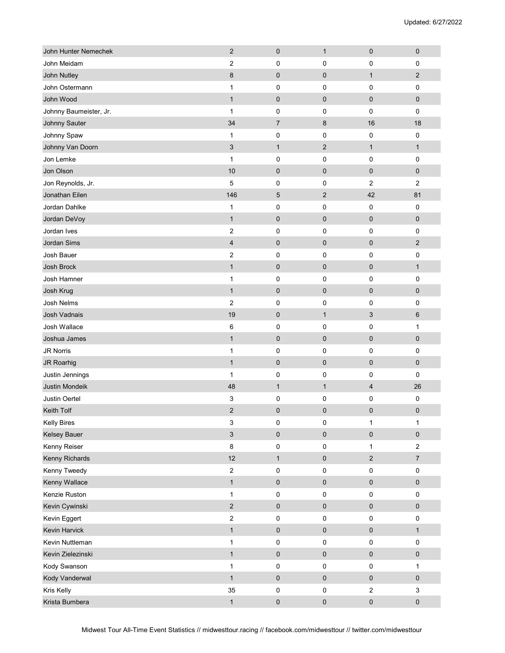| John Hunter Nemechek   | $\mathbf{2}$   | $\pmb{0}$      | $\mathbf{1}$   | $\pmb{0}$      | $\pmb{0}$        |
|------------------------|----------------|----------------|----------------|----------------|------------------|
| John Meidam            | 2              | 0              | 0              | 0              | 0                |
| John Nutley            | 8              | $\pmb{0}$      | $\pmb{0}$      | $\mathbf{1}$   | $\sqrt{2}$       |
| John Ostermann         | 1              | 0              | 0              | 0              | 0                |
| John Wood              | $\mathbf{1}$   | $\pmb{0}$      | $\pmb{0}$      | $\mathbf 0$    | $\pmb{0}$        |
| Johnny Baumeister, Jr. | $\mathbf{1}$   | 0              | 0              | $\mathbf 0$    | $\pmb{0}$        |
| Johnny Sauter          | 34             | $\overline{7}$ | 8              | 16             | 18               |
| Johnny Spaw            | 1              | $\pmb{0}$      | 0              | 0              | $\pmb{0}$        |
| Johnny Van Doorn       | 3              | $\mathbf{1}$   | $\overline{2}$ | $\mathbf{1}$   | $\mathbf{1}$     |
| Jon Lemke              | $\mathbf{1}$   | $\pmb{0}$      | 0              | 0              | 0                |
| Jon Olson              | 10             | $\pmb{0}$      | $\mathbf 0$    | $\mathbf 0$    | $\pmb{0}$        |
| Jon Reynolds, Jr.      | 5              | 0              | 0              | $\overline{c}$ | $\overline{c}$   |
| Jonathan Eilen         | 146            | $\mathbf 5$    | $\overline{2}$ | 42             | 81               |
| Jordan Dahlke          | 1              | 0              | 0              | $\pmb{0}$      | $\pmb{0}$        |
| Jordan DeVoy           | $\mathbf{1}$   | $\pmb{0}$      | $\pmb{0}$      | $\pmb{0}$      | $\pmb{0}$        |
| Jordan Ives            | 2              | 0              | 0              | 0              | 0                |
| Jordan Sims            | 4              | $\pmb{0}$      | $\mathbf 0$    | $\mathbf 0$    | $\sqrt{2}$       |
| Josh Bauer             | 2              | $\pmb{0}$      | 0              | 0              | $\pmb{0}$        |
| Josh Brock             | $\mathbf{1}$   | $\pmb{0}$      | $\pmb{0}$      | $\pmb{0}$      | $\mathbf{1}$     |
| Josh Hamner            | 1              | 0              | 0              | $\pmb{0}$      | 0                |
| Josh Krug              | $\mathbf{1}$   | $\pmb{0}$      | $\pmb{0}$      | $\pmb{0}$      | $\pmb{0}$        |
| Josh Nelms             | $\overline{c}$ | 0              | 0              | 0              | 0                |
| Josh Vadnais           | 19             | $\pmb{0}$      | $\mathbf{1}$   | 3              | $\,6\,$          |
| Josh Wallace           | 6              | $\pmb{0}$      | 0              | 0              | 1                |
| Joshua James           | $\mathbf{1}$   | $\pmb{0}$      | $\pmb{0}$      | $\pmb{0}$      | $\pmb{0}$        |
| <b>JR Norris</b>       | 1              | 0              | 0              | 0              | $\pmb{0}$        |
| JR Roarhig             | $\mathbf{1}$   | $\pmb{0}$      | $\pmb{0}$      | $\pmb{0}$      | $\pmb{0}$        |
| Justin Jennings        | $\mathbf{1}$   | 0              | 0              | 0              | 0                |
| Justin Mondeik         | 48             | $\mathbf{1}$   | $\mathbf{1}$   | $\overline{4}$ | 26               |
| Justin Oertel          | 3              | $\pmb{0}$      | 0              | 0              | $\pmb{0}$        |
| Keith Tolf             | $\overline{c}$ | $\pmb{0}$      | $\pmb{0}$      | 0              | $\pmb{0}$        |
| <b>Kelly Bires</b>     | $\mathsf 3$    | 0              | $\pmb{0}$      | $\mathbf{1}$   | $\mathbf{1}$     |
| Kelsey Bauer           | $\mathfrak{S}$ | $\pmb{0}$      | $\pmb{0}$      | $\pmb{0}$      | $\pmb{0}$        |
| Kenny Reiser           | $\bf 8$        | $\pmb{0}$      | 0              | $\mathbf{1}$   | $\sqrt{2}$       |
| Kenny Richards         | 12             | $\mathbf{1}$   | $\pmb{0}$      | $\sqrt{2}$     | $\boldsymbol{7}$ |
| Kenny Tweedy           | $\sqrt{2}$     | 0              | 0              | $\pmb{0}$      | $\pmb{0}$        |
| Kenny Wallace          | $\mathbf{1}$   | $\pmb{0}$      | $\pmb{0}$      | $\pmb{0}$      | $\pmb{0}$        |
| Kenzie Ruston          | $\mathbf{1}$   | $\mathsf 0$    | 0              | $\pmb{0}$      | $\pmb{0}$        |
| Kevin Cywinski         | $\overline{2}$ | $\pmb{0}$      | $\pmb{0}$      | $\pmb{0}$      | $\pmb{0}$        |
| Kevin Eggert           | $\sqrt{2}$     | 0              | 0              | $\pmb{0}$      | $\pmb{0}$        |
| Kevin Harvick          | $\mathbf{1}$   | $\pmb{0}$      | $\pmb{0}$      | $\pmb{0}$      | $\mathbf{1}$     |
| Kevin Nuttleman        | $\mathbf{1}$   | 0              | 0              | $\pmb{0}$      | $\pmb{0}$        |
| Kevin Zielezinski      | $\mathbf{1}$   | $\pmb{0}$      | $\pmb{0}$      | $\pmb{0}$      | $\pmb{0}$        |
| Kody Swanson           | $\mathbf{1}$   | $\pmb{0}$      | $\pmb{0}$      | $\pmb{0}$      | $\mathbf{1}$     |
| Kody Vanderwal         | $\mathbf{1}$   | $\pmb{0}$      | $\pmb{0}$      | $\pmb{0}$      | $\pmb{0}$        |
| Kris Kelly             | 35             | 0              | $\pmb{0}$      | $\sqrt{2}$     | 3                |
| Krista Bumbera         | $\mathbf{1}$   | $\pmb{0}$      | $\pmb{0}$      | $\pmb{0}$      | $\pmb{0}$        |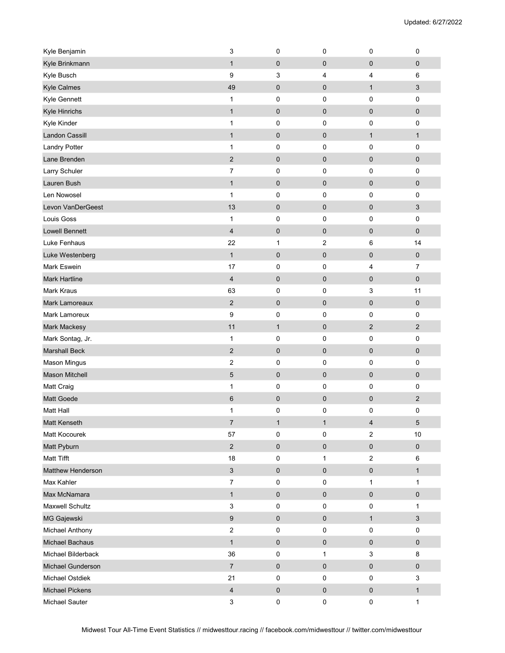| Kyle Benjamin            | 3                         | 0            | $\pmb{0}$        | 0                | 0                         |
|--------------------------|---------------------------|--------------|------------------|------------------|---------------------------|
| Kyle Brinkmann           | $\mathbf{1}$              | 0            | $\mathbf 0$      | $\mathbf 0$      | $\pmb{0}$                 |
| Kyle Busch               | 9                         | 3            | 4                | 4                | 6                         |
| <b>Kyle Calmes</b>       | 49                        | $\pmb{0}$    | $\mathbf 0$      | $\mathbf{1}$     | 3                         |
| Kyle Gennett             | $\mathbf{1}$              | 0            | $\pmb{0}$        | 0                | $\pmb{0}$                 |
| Kyle Hinrichs            | $\mathbf{1}$              | $\pmb{0}$    | $\pmb{0}$        | $\pmb{0}$        | 0                         |
| Kyle Kinder              | 1                         | 0            | 0                | 0                | $\pmb{0}$                 |
| <b>Landon Cassill</b>    | $\mathbf{1}$              | 0            | $\pmb{0}$        | $\mathbf{1}$     | $\mathbf{1}$              |
| <b>Landry Potter</b>     | $\mathbf{1}$              | 0            | 0                | 0                | $\pmb{0}$                 |
| Lane Brenden             | $\overline{2}$            | 0            | $\pmb{0}$        | $\mathbf 0$      | $\pmb{0}$                 |
| Larry Schuler            | 7                         | 0            | $\mathbf 0$      | 0                | $\pmb{0}$                 |
| Lauren Bush              | $\mathbf{1}$              | 0            | $\pmb{0}$        | $\mathbf 0$      | $\pmb{0}$                 |
| Len Nowosel              | $\mathbf{1}$              | 0            | $\pmb{0}$        | 0                | $\pmb{0}$                 |
| Levon VanDerGeest        | 13                        | 0            | $\pmb{0}$        | $\pmb{0}$        | $\sqrt{3}$                |
| Louis Goss               | $\mathbf{1}$              | 0            | 0                | 0                | $\pmb{0}$                 |
| <b>Lowell Bennett</b>    | $\overline{\mathcal{A}}$  | 0            | $\mathbf 0$      | $\mathbf 0$      | 0                         |
| Luke Fenhaus             | 22                        | 1            | $\boldsymbol{2}$ | 6                | 14                        |
| Luke Westenberg          | $\mathbf{1}$              | $\pmb{0}$    | $\pmb{0}$        | $\pmb{0}$        | $\pmb{0}$                 |
| Mark Eswein              | 17                        | 0            | $\mathbf 0$      | 4                | $\overline{7}$            |
| <b>Mark Hartline</b>     | $\overline{\mathbf{4}}$   | 0            | $\pmb{0}$        | $\pmb{0}$        | 0                         |
| <b>Mark Kraus</b>        | 63                        | 0            | 0                | 3                | 11                        |
| <b>Mark Lamoreaux</b>    | $\overline{2}$            | $\mathbf 0$  | $\pmb{0}$        | $\mathbf 0$      | $\pmb{0}$                 |
| Mark Lamoreux            | 9                         | 0            | 0                | 0                | 0                         |
| Mark Mackesy             | 11                        | $\mathbf{1}$ | $\pmb{0}$        | $\overline{2}$   | $\overline{c}$            |
| Mark Sontag, Jr.         | $\mathbf{1}$              | 0            | $\pmb{0}$        | 0                | $\pmb{0}$                 |
| <b>Marshall Beck</b>     | $\mathbf 2$               | 0            | $\pmb{0}$        | $\pmb{0}$        | $\pmb{0}$                 |
| <b>Mason Mingus</b>      | $\boldsymbol{2}$          | 0            | 0                | 0                | $\pmb{0}$                 |
| <b>Mason Mitchell</b>    | $\mathbf 5$               | 0            | $\mathbf 0$      | $\mathbf 0$      | $\pmb{0}$                 |
| Matt Craig               | 1                         | 0            | $\mathbf 0$      | 0                | $\pmb{0}$                 |
| Matt Goede               | 6                         | 0            | $\pmb{0}$        | $\pmb{0}$        | $\overline{2}$            |
| Matt Hall                | 1                         | 0            | 0                | 0                | $\pmb{0}$                 |
| Matt Kenseth             | $\overline{7}$            | $\mathbf{1}$ | $\mathbf{1}$     | $\overline{4}$   | $\mathbf 5$               |
| Matt Kocourek            | 57                        | 0            | $\mathbf 0$      | $\overline{2}$   | $10$                      |
| Matt Pyburn              | $\overline{2}$            | 0            | $\mathbf 0$      | $\pmb{0}$        | $\pmb{0}$                 |
| Matt Tifft               | 18                        | 0            | 1                | $\boldsymbol{2}$ | 6                         |
| <b>Matthew Henderson</b> | $\ensuremath{\mathsf{3}}$ | $\pmb{0}$    | $\pmb{0}$        | $\pmb{0}$        | $\mathbf{1}$              |
| Max Kahler               | $\overline{7}$            | 0            | $\pmb{0}$        | $\mathbf{1}$     | $\mathbf{1}$              |
| Max McNamara             | $\mathbf{1}$              | $\pmb{0}$    | $\pmb{0}$        | $\pmb{0}$        | $\pmb{0}$                 |
| Maxwell Schultz          | 3                         | 0            | $\pmb{0}$        | $\pmb{0}$        | $\mathbf{1}$              |
| MG Gajewski              | $\boldsymbol{9}$          | 0            | $\pmb{0}$        | $\mathbf{1}$     | $\ensuremath{\mathsf{3}}$ |
| Michael Anthony          | $\boldsymbol{2}$          | 0            | $\pmb{0}$        | 0                | $\pmb{0}$                 |
| Michael Bachaus          | $\mathbf{1}$              | 0            | $\pmb{0}$        | $\pmb{0}$        | $\pmb{0}$                 |
| Michael Bilderback       | 36                        | 0            | 1                | 3                | 8                         |
| Michael Gunderson        | $\overline{7}$            | $\pmb{0}$    | $\pmb{0}$        | $\pmb{0}$        | $\pmb{0}$                 |
| Michael Ostdiek          | 21                        | 0            | $\pmb{0}$        | $\pmb{0}$        | $\ensuremath{\mathsf{3}}$ |
| <b>Michael Pickens</b>   | $\overline{\mathbf{4}}$   | $\pmb{0}$    | $\pmb{0}$        | $\pmb{0}$        | $\mathbf{1}$              |
| Michael Sauter           | 3                         | 0            | $\pmb{0}$        | $\pmb{0}$        | $\mathbf{1}$              |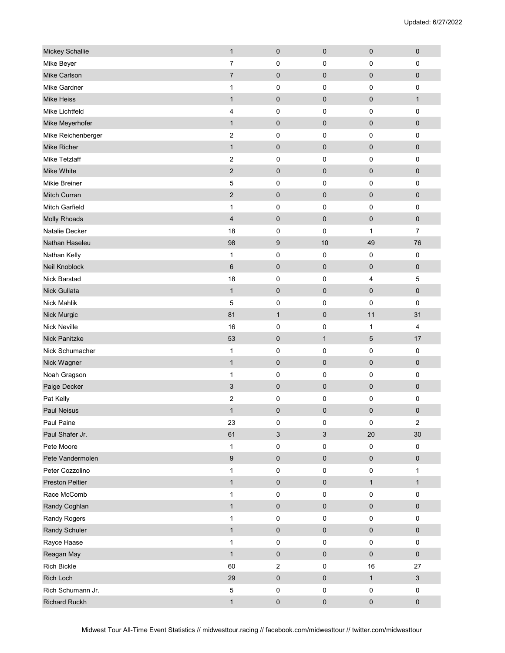| Mickey Schallie        | $\mathbf{1}$            | 0                         | $\pmb{0}$    | $\pmb{0}$       | $\pmb{0}$      |
|------------------------|-------------------------|---------------------------|--------------|-----------------|----------------|
| Mike Beyer             | 7                       | 0                         | $\mathbf 0$  | 0               | $\mathbf 0$    |
| Mike Carlson           | $\overline{7}$          | 0                         | $\mathbf 0$  | $\pmb{0}$       | 0              |
| Mike Gardner           | 1                       | 0                         | $\mathbf 0$  | 0               | $\pmb{0}$      |
| <b>Mike Heiss</b>      | $\mathbf{1}$            | 0                         | $\pmb{0}$    | $\mathbf 0$     | $\mathbf{1}$   |
| Mike Lichtfeld         | 4                       | 0                         | $\mathbf 0$  | 0               | $\pmb{0}$      |
| Mike Meyerhofer        | $\mathbf{1}$            | 0                         | $\mathbf 0$  | $\mathbf 0$     | $\pmb{0}$      |
| Mike Reichenberger     | $\boldsymbol{2}$        | 0                         | $\pmb{0}$    | 0               | $\pmb{0}$      |
| Mike Richer            | $\mathbf{1}$            | 0                         | $\pmb{0}$    | $\pmb{0}$       | $\pmb{0}$      |
| <b>Mike Tetzlaff</b>   | $\overline{2}$          | 0                         | $\mathbf 0$  | 0               | $\pmb{0}$      |
| Mike White             | $\overline{2}$          | 0                         | $\mathbf 0$  | $\mathbf 0$     | $\pmb{0}$      |
| <b>Mikie Breiner</b>   | 5                       | 0                         | 0            | 0               | $\pmb{0}$      |
| Mitch Curran           | $\sqrt{2}$              | 0                         | $\pmb{0}$    | $\pmb{0}$       | 0              |
| <b>Mitch Garfield</b>  | 1                       | 0                         | $\mathbf 0$  | $\mathbf 0$     | $\pmb{0}$      |
| Molly Rhoads           | $\overline{\mathbf{4}}$ | 0                         | $\pmb{0}$    | $\pmb{0}$       | 0              |
| Natalie Decker         | 18                      | 0                         | $\mathbf 0$  | $\mathbf{1}$    | $\overline{7}$ |
| Nathan Haseleu         | 98                      | 9                         | 10           | 49              | 76             |
| Nathan Kelly           | $\mathbf{1}$            | 0                         | 0            | 0               | $\pmb{0}$      |
| Neil Knoblock          | $6\phantom{1}$          | 0                         | $\pmb{0}$    | $\mathbf 0$     | $\pmb{0}$      |
| <b>Nick Barstad</b>    | 18                      | 0                         | $\pmb{0}$    | $\overline{4}$  | 5              |
| Nick Gullata           | $\mathbf{1}$            | 0                         | $\pmb{0}$    | $\mathbf 0$     | $\pmb{0}$      |
| <b>Nick Mahlik</b>     | 5                       | 0                         | $\pmb{0}$    | $\mathbf 0$     | $\pmb{0}$      |
| Nick Murgic            | 81                      | $\mathbf{1}$              | $\mathbf 0$  | 11              | 31             |
| <b>Nick Neville</b>    | 16                      | 0                         | 0            | $\mathbf{1}$    | 4              |
| <b>Nick Panitzke</b>   | 53                      | 0                         | $\mathbf{1}$ | $5\phantom{.0}$ | 17             |
| Nick Schumacher        | $\mathbf{1}$            | 0                         | $\pmb{0}$    | 0               | $\pmb{0}$      |
| Nick Wagner            | $\mathbf{1}$            | 0                         | $\pmb{0}$    | $\pmb{0}$       | $\pmb{0}$      |
| Noah Gragson           | 1                       | 0                         | $\pmb{0}$    | 0               | $\pmb{0}$      |
| Paige Decker           | 3                       | 0                         | $\pmb{0}$    | $\mathbf 0$     | $\pmb{0}$      |
| Pat Kelly              | 2                       | 0                         | 0            | 0               | $\pmb{0}$      |
| <b>Paul Neisus</b>     | $\mathbf{1}$            | 0                         | $\pmb{0}$    | $\mathbf 0$     | $\pmb{0}$      |
| Paul Paine             | 23                      | 0                         | $\pmb{0}$    | $\pmb{0}$       | $\overline{c}$ |
| Paul Shafer Jr.        | 61                      | $\ensuremath{\mathsf{3}}$ | $\sqrt{3}$   | $20\,$          | $30\,$         |
| Pete Moore             | $\mathbf{1}$            | 0                         | $\pmb{0}$    | $\pmb{0}$       | $\pmb{0}$      |
| Pete Vandermolen       | $\boldsymbol{9}$        | 0                         | $\pmb{0}$    | $\pmb{0}$       | $\pmb{0}$      |
| Peter Cozzolino        | $\mathbf{1}$            | 0                         | $\pmb{0}$    | $\pmb{0}$       | $\mathbf{1}$   |
| <b>Preston Peltier</b> | $\mathbf{1}$            | $\pmb{0}$                 | $\pmb{0}$    | $\mathbf{1}$    | $\mathbf{1}$   |
| Race McComb            | $\mathbf{1}$            | 0                         | $\pmb{0}$    | $\pmb{0}$       | $\pmb{0}$      |
| Randy Coghlan          | $\mathbf{1}$            | $\mathsf{O}\xspace$       | $\mathbf 0$  | $\pmb{0}$       | $\pmb{0}$      |
| Randy Rogers           | $\mathbf{1}$            | 0                         | $\pmb{0}$    | $\pmb{0}$       | 0              |
| Randy Schuler          | $\mathbf{1}$            | $\pmb{0}$                 | $\pmb{0}$    | $\pmb{0}$       | $\pmb{0}$      |
| Rayce Haase            | $\mathbf{1}$            | 0                         | $\pmb{0}$    | $\pmb{0}$       | $\pmb{0}$      |
| Reagan May             | $\mathbf{1}$            | $\pmb{0}$                 | $\pmb{0}$    | $\pmb{0}$       | $\pmb{0}$      |
| Rich Bickle            | 60                      | $\overline{c}$            | $\pmb{0}$    | 16              | 27             |
| Rich Loch              | 29                      | $\pmb{0}$                 | $\pmb{0}$    | $\mathbf{1}$    | $\mathsf 3$    |
| Rich Schumann Jr.      | $\,$ 5 $\,$             | 0                         | $\pmb{0}$    | $\pmb{0}$       | $\pmb{0}$      |
| Richard Ruckh          | $\mathbf{1}$            | 0                         | $\pmb{0}$    | $\pmb{0}$       | $\pmb{0}$      |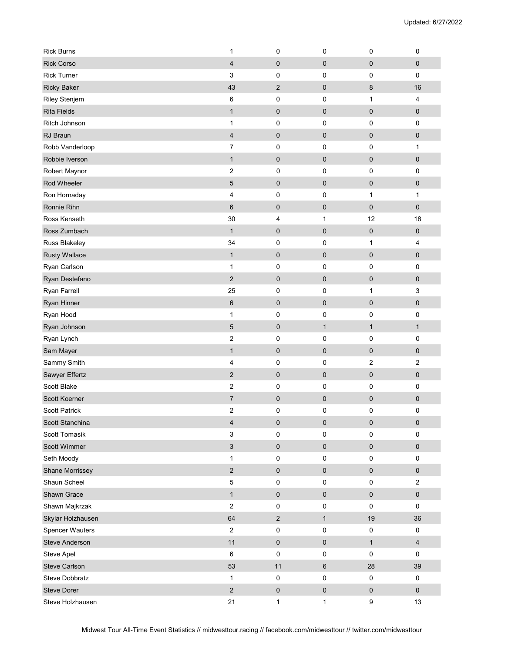| <b>Rick Burns</b>      | 1                       | 0              | $\mathbf 0$  | $\mathbf 0$      | $\pmb{0}$        |
|------------------------|-------------------------|----------------|--------------|------------------|------------------|
| <b>Rick Corso</b>      | 4                       | 0              | $\pmb{0}$    | $\pmb{0}$        | $\pmb{0}$        |
| <b>Rick Turner</b>     | 3                       | 0              | $\pmb{0}$    | 0                | 0                |
| <b>Ricky Baker</b>     | 43                      | $\overline{2}$ | $\pmb{0}$    | 8                | 16               |
| Riley Stenjem          | 6                       | 0              | $\mathbf 0$  | $\mathbf{1}$     | 4                |
| <b>Rita Fields</b>     | $\mathbf{1}$            | 0              | $\pmb{0}$    | $\pmb{0}$        | $\pmb{0}$        |
| Ritch Johnson          | 1                       | 0              | $\pmb{0}$    | 0                | $\pmb{0}$        |
| RJ Braun               | $\overline{\mathbf{4}}$ | $\pmb{0}$      | $\pmb{0}$    | $\pmb{0}$        | $\pmb{0}$        |
| Robb Vanderloop        | $\overline{7}$          | 0              | $\pmb{0}$    | 0                | $\mathbf{1}$     |
| Robbie Iverson         | $\mathbf{1}$            | $\pmb{0}$      | $\mathbf 0$  | $\mathbf 0$      | $\pmb{0}$        |
| Robert Maynor          | $\overline{\mathbf{c}}$ | 0              | $\mathbf 0$  | 0                | $\pmb{0}$        |
| Rod Wheeler            | 5                       | $\pmb{0}$      | $\pmb{0}$    | $\mathbf 0$      | $\pmb{0}$        |
| Ron Hornaday           | 4                       | 0              | $\pmb{0}$    | $\mathbf{1}$     | $\mathbf{1}$     |
| Ronnie Rihn            | $6\phantom{1}$          | 0              | $\pmb{0}$    | $\pmb{0}$        | $\pmb{0}$        |
| Ross Kenseth           | 30                      | 4              | 1            | 12               | 18               |
| Ross Zumbach           | $\mathbf{1}$            | 0              | $\pmb{0}$    | $\pmb{0}$        | $\pmb{0}$        |
| Russ Blakeley          | 34                      | 0              | 0            | 1                | 4                |
| <b>Rusty Wallace</b>   | $\mathbf{1}$            | 0              | $\mathbf 0$  | $\pmb{0}$        | $\pmb{0}$        |
| Ryan Carlson           | 1                       | 0              | $\mathbf 0$  | 0                | $\pmb{0}$        |
| Ryan Destefano         | $\overline{2}$          | $\pmb{0}$      | $\pmb{0}$    | $\pmb{0}$        | $\pmb{0}$        |
| Ryan Farrell           | 25                      | 0              | $\mathbf 0$  | 1                | 3                |
| Ryan Hinner            | $\,6$                   | $\pmb{0}$      | $\pmb{0}$    | $\pmb{0}$        | $\pmb{0}$        |
| Ryan Hood              | 1                       | 0              | 0            | 0                | $\pmb{0}$        |
| Ryan Johnson           | 5                       | $\pmb{0}$      | $\mathbf{1}$ | $\mathbf{1}$     | $\mathbf{1}$     |
| Ryan Lynch             | $\overline{\mathbf{c}}$ | 0              | $\mathbf 0$  | 0                | $\pmb{0}$        |
| Sam Mayer              | $\mathbf{1}$            | 0              | $\pmb{0}$    | $\pmb{0}$        | $\pmb{0}$        |
| Sammy Smith            | 4                       | 0              | $\pmb{0}$    | $\boldsymbol{2}$ | $\mathbf 2$      |
| Sawyer Effertz         | $\sqrt{2}$              | 0              | $\pmb{0}$    | $\pmb{0}$        | $\pmb{0}$        |
| Scott Blake            | $\boldsymbol{2}$        | 0              | $\pmb{0}$    | 0                | $\pmb{0}$        |
| Scott Koerner          | $\overline{7}$          | 0              | $\mathbf 0$  | $\mathbf 0$      | $\pmb{0}$        |
| <b>Scott Patrick</b>   | 2                       | 0              | 0            | 0                | $\pmb{0}$        |
| Scott Stanchina        | 4                       | 0              | $\pmb{0}$    | $\pmb{0}$        | $\pmb{0}$        |
| Scott Tomasik          | 3                       | 0              | $\mathbf 0$  | $\mathbf 0$      | $\pmb{0}$        |
| Scott Wimmer           | $\mathfrak{S}$          | 0              | $\pmb{0}$    | $\pmb{0}$        | $\pmb{0}$        |
| Seth Moody             | $\mathbf{1}$            | 0              | $\pmb{0}$    | $\pmb{0}$        | $\pmb{0}$        |
| Shane Morrissey        | $\overline{2}$          | $\pmb{0}$      | $\pmb{0}$    | $\pmb{0}$        | $\pmb{0}$        |
| Shaun Scheel           | $\mathbf 5$             | 0              | $\pmb{0}$    | $\pmb{0}$        | $\boldsymbol{2}$ |
| Shawn Grace            | $\mathbf{1}$            | 0              | $\pmb{0}$    | $\pmb{0}$        | $\pmb{0}$        |
| Shawn Majkrzak         | $\mathbf 2$             | $\pmb{0}$      | $\pmb{0}$    | $\pmb{0}$        | $\pmb{0}$        |
| Skylar Holzhausen      | 64                      | $\overline{c}$ | $\mathbf{1}$ | 19               | $36\,$           |
| <b>Spencer Wauters</b> | $\boldsymbol{2}$        | 0              | $\pmb{0}$    | $\pmb{0}$        | $\pmb{0}$        |
| <b>Steve Anderson</b>  | 11                      | 0              | $\pmb{0}$    | $\mathbf{1}$     | $\overline{4}$   |
| Steve Apel             | 6                       | 0              | $\pmb{0}$    | $\pmb{0}$        | $\mathbf 0$      |
| Steve Carlson          | 53                      | 11             | $\,6\,$      | 28               | $39\,$           |
| <b>Steve Dobbratz</b>  | $\mathbf{1}$            | 0              | $\pmb{0}$    | $\pmb{0}$        | $\pmb{0}$        |
| <b>Steve Dorer</b>     | $\sqrt{2}$              | $\pmb{0}$      | $\mathbf 0$  | $\pmb{0}$        | $\pmb{0}$        |
| Steve Holzhausen       | 21                      | 1              | 1            | $\boldsymbol{9}$ | 13               |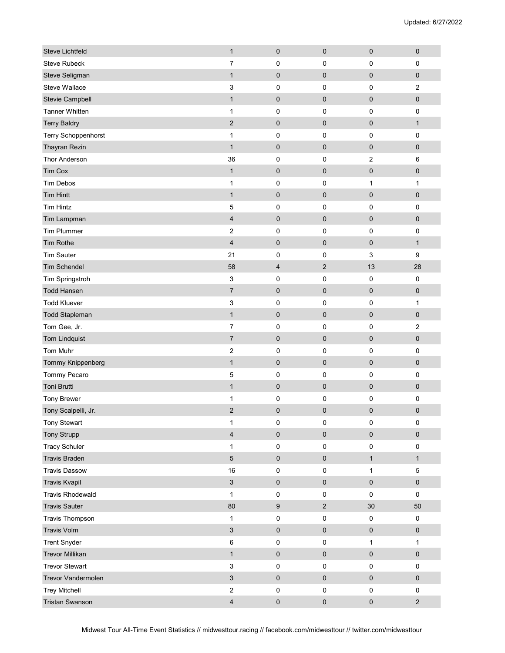| <b>Steve Lichtfeld</b>  | $\mathbf{1}$              | $\pmb{0}$               | $\pmb{0}$      | $\pmb{0}$      | $\pmb{0}$    |
|-------------------------|---------------------------|-------------------------|----------------|----------------|--------------|
| <b>Steve Rubeck</b>     | $\overline{7}$            | $\mathbf 0$             | 0              | 0              | $\mathbf 0$  |
| Steve Seligman          | $\mathbf{1}$              | $\pmb{0}$               | $\pmb{0}$      | $\pmb{0}$      | $\pmb{0}$    |
| Steve Wallace           | 3                         | $\pmb{0}$               | 0              | 0              | 2            |
| Stevie Campbell         | $\mathbf{1}$              | $\pmb{0}$               | $\mathbf 0$    | $\mathbf 0$    | $\pmb{0}$    |
| <b>Tanner Whitten</b>   | $\mathbf{1}$              | $\pmb{0}$               | 0              | 0              | $\pmb{0}$    |
| <b>Terry Baldry</b>     | $\overline{2}$            | $\pmb{0}$               | $\pmb{0}$      | $\mathbf 0$    | $\mathbf{1}$ |
| Terry Schoppenhorst     | $\mathbf{1}$              | 0                       | 0              | $\pmb{0}$      | $\pmb{0}$    |
| Thayran Rezin           | $\mathbf{1}$              | $\pmb{0}$               | $\pmb{0}$      | $\pmb{0}$      | $\pmb{0}$    |
| Thor Anderson           | 36                        | 0                       | 0              | $\overline{2}$ | $\,6\,$      |
| <b>Tim Cox</b>          | $\mathbf{1}$              | $\pmb{0}$               | $\mathbf 0$    | $\pmb{0}$      | $\pmb{0}$    |
| <b>Tim Debos</b>        | $\mathbf{1}$              | $\pmb{0}$               | 0              | 1              | $\mathbf{1}$ |
| <b>Tim Hintt</b>        | $\mathbf{1}$              | $\pmb{0}$               | $\pmb{0}$      | $\pmb{0}$      | $\pmb{0}$    |
| <b>Tim Hintz</b>        | 5                         | $\pmb{0}$               | 0              | 0              | $\pmb{0}$    |
| Tim Lampman             | 4                         | $\pmb{0}$               | $\pmb{0}$      | $\pmb{0}$      | $\pmb{0}$    |
| <b>Tim Plummer</b>      | $\boldsymbol{2}$          | 0                       | 0              | 0              | $\pmb{0}$    |
| <b>Tim Rothe</b>        | $\overline{\mathbf{4}}$   | $\pmb{0}$               | $\pmb{0}$      | $\pmb{0}$      | $\mathbf{1}$ |
| <b>Tim Sauter</b>       | 21                        | 0                       | 0              | 3              | 9            |
| <b>Tim Schendel</b>     | 58                        | $\overline{\mathbf{4}}$ | $\mathbf{2}$   | 13             | 28           |
| Tim Springstroh         | $\mathbf{3}$              | 0                       | 0              | $\mathbf 0$    | $\pmb{0}$    |
| <b>Todd Hansen</b>      | $\overline{7}$            | $\pmb{0}$               | 0              | $\pmb{0}$      | $\pmb{0}$    |
| <b>Todd Kluever</b>     | 3                         | $\pmb{0}$               | 0              | $\pmb{0}$      | 1            |
| <b>Todd Stapleman</b>   | $\mathbf{1}$              | $\pmb{0}$               | $\pmb{0}$      | $\pmb{0}$      | $\pmb{0}$    |
| Tom Gee, Jr.            | $\overline{7}$            | $\pmb{0}$               | 0              | 0              | $\sqrt{2}$   |
| <b>Tom Lindquist</b>    | $\overline{7}$            | $\pmb{0}$               | $\mathbf 0$    | $\mathbf 0$    | $\pmb{0}$    |
| <b>Tom Muhr</b>         | $\overline{2}$            | $\pmb{0}$               | 0              | 0              | $\pmb{0}$    |
| Tommy Knippenberg       | $\mathbf{1}$              | $\pmb{0}$               | $\pmb{0}$      | $\pmb{0}$      | $\pmb{0}$    |
| Tommy Pecaro            | 5                         | 0                       | 0              | 0              | $\pmb{0}$    |
| Toni Brutti             | $\mathbf{1}$              | $\pmb{0}$               | $\pmb{0}$      | $\pmb{0}$      | $\pmb{0}$    |
| <b>Tony Brewer</b>      | 1                         | 0                       | 0              | 0              | 0            |
| Tony Scalpelli, Jr.     | $\mathbf 2$               | $\pmb{0}$               | $\mathbf 0$    | 0              | $\pmb{0}$    |
| Tony Stewart            | $\mathbf{1}$              | $\pmb{0}$               | 0              | $\pmb{0}$      | $\mathbf 0$  |
| <b>Tony Strupp</b>      | $\overline{\mathbf{4}}$   | $\pmb{0}$               | $\pmb{0}$      | $\pmb{0}$      | $\pmb{0}$    |
| <b>Tracy Schuler</b>    | $\mathbf 1$               | $\pmb{0}$               | $\pmb{0}$      | 0              | $\pmb{0}$    |
| <b>Travis Braden</b>    | $\sqrt{5}$                | $\pmb{0}$               | $\pmb{0}$      | $\mathbf{1}$   | $\mathbf{1}$ |
| <b>Travis Dassow</b>    | 16                        | $\pmb{0}$               | $\pmb{0}$      | $\mathbf{1}$   | $\mathbf 5$  |
| <b>Travis Kvapil</b>    | $\mathfrak{S}$            | $\pmb{0}$               | $\pmb{0}$      | $\pmb{0}$      | $\pmb{0}$    |
| <b>Travis Rhodewald</b> | $\mathbf{1}$              | $\mathsf 0$             | $\pmb{0}$      | $\pmb{0}$      | $\pmb{0}$    |
| <b>Travis Sauter</b>    | 80                        | $\boldsymbol{9}$        | $\overline{2}$ | $30\,$         | 50           |
| Travis Thompson         | $\mathbf{1}$              | $\pmb{0}$               | $\pmb{0}$      | $\pmb{0}$      | $\pmb{0}$    |
| <b>Travis Volm</b>      | $\mathfrak{S}$            | $\pmb{0}$               | $\pmb{0}$      | $\pmb{0}$      | $\pmb{0}$    |
| <b>Trent Snyder</b>     | $\,6\,$                   | 0                       | 0              | $\mathbf{1}$   | 1            |
| <b>Trevor Millikan</b>  | $\mathbf{1}$              | $\mathsf{O}\xspace$     | $\pmb{0}$      | $\pmb{0}$      | $\pmb{0}$    |
| <b>Trevor Stewart</b>   | $\ensuremath{\mathsf{3}}$ | $\mathsf 0$             | 0              | $\pmb{0}$      | $\pmb{0}$    |
| Trevor Vandermolen      | $\sqrt{3}$                | $\pmb{0}$               | $\pmb{0}$      | $\pmb{0}$      | $\pmb{0}$    |
| <b>Trey Mitchell</b>    | $\overline{c}$            | $\pmb{0}$               | $\pmb{0}$      | $\pmb{0}$      | $\pmb{0}$    |
| <b>Tristan Swanson</b>  | $\overline{\mathbf{4}}$   | $\pmb{0}$               | $\pmb{0}$      | $\pmb{0}$      | $\sqrt{2}$   |